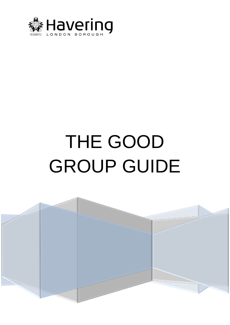

# THE GOOD GROUP GUIDE

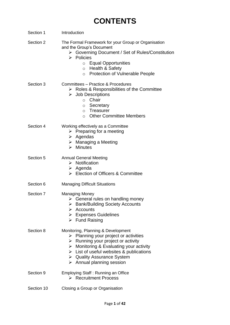# **CONTENTS**

| Section 1  | Introduction                                                                                                                                                                                                                                                                                                                                                  |
|------------|---------------------------------------------------------------------------------------------------------------------------------------------------------------------------------------------------------------------------------------------------------------------------------------------------------------------------------------------------------------|
| Section 2  | The Formal Framework for your Group or Organisation<br>and the Group's Document<br>▶ Governing Document / Set of Rules/Constitution<br>$\triangleright$ Policies<br><b>Equal Opportunities</b><br>$\circ$<br>$\circ$ Health & Safety<br><b>Protection of Vulnerable People</b><br>$\circ$                                                                     |
| Section 3  | Committees - Practice & Procedures<br>$\triangleright$ Roles & Responsibilities of the Committee<br>$\triangleright$ Job Descriptions<br>Chair<br>$\circ$<br>$\circ$ Secretary<br>o Treasurer<br><b>Other Committee Members</b><br>$\circ$                                                                                                                    |
| Section 4  | Working effectively as a Committee<br>$\triangleright$ Preparing for a meeting<br>$\triangleright$ Agendas<br>$\triangleright$ Managing a Meeting<br>$\triangleright$ Minutes                                                                                                                                                                                 |
| Section 5  | <b>Annual General Meeting</b><br>$\triangleright$ Notification<br>$\triangleright$ Agenda<br>> Election of Officers & Committee                                                                                                                                                                                                                               |
| Section 6  | <b>Managing Difficult Situations</b>                                                                                                                                                                                                                                                                                                                          |
| Section 7  | <b>Managing Money</b><br>$\triangleright$ General rules on handling money<br>≻ Bank/Building Society Accounts<br>$\triangleright$ Accounts<br>$\triangleright$ Expenses Guidelines<br>$\triangleright$ Fund Raising                                                                                                                                           |
| Section 8  | Monitoring, Planning & Development<br>$\triangleright$ Planning your project or activities<br>$\triangleright$ Running your project or activity<br>$\triangleright$ Monitoring & Evaluating your activity<br>$\triangleright$ List of useful websites & publications<br>$\triangleright$ Quality Assurance System<br>$\triangleright$ Annual planning session |
| Section 9  | Employing Staff: Running an Office<br>$\triangleright$ Recruitment Process                                                                                                                                                                                                                                                                                    |
| Section 10 | Closing a Group or Organisation                                                                                                                                                                                                                                                                                                                               |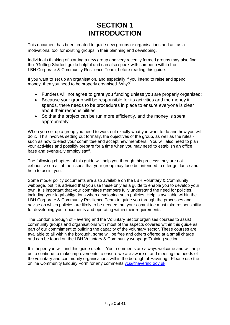# **SECTION 1 INTRODUCTION**

 This document has been created to guide new groups or organisations and act as a motivational tool for existing groups in their planning and developing.

 Individuals thinking of starting a new group and very recently formed groups may also find the 'Getting Started' guide helpful and can also speak with someone within the LBH Corporate & Community Resilience Team, before reading this guide.

 If you want to set up an organisation, and especially if you intend to raise and spend money, then you need to be properly organised. Why?

- Funders will not agree to grant you funding unless you are properly organised;
- Because your group will be responsible for its activities and the money it spends, there needs to be procedures in place to ensure everyone is clear about their responsibilities.
- So that the project can be run more efficiently, and the money is spent appropriately.

 When you set up a group you need to work out exactly what you want to do and how you will do it. This involves setting out formally, the objectives of the group, as well as the rules - such as how to elect your committee and accept new members. You will also need to plan your activities and possibly prepare for a time when you may need to establish an office base and eventually employ staff.

 The following chapters of this guide will help you through this process; they are not exhaustive on all of the issues that your group may face but intended to offer guidance and help to assist you.

 Some model policy documents are also available on the LBH Voluntary & Community webpage, but it is advised that you use these only as a guide to enable you to develop your own. It is important that your committee members fully understand the need for policies, including your legal obligations when developing such policies. Help is available within the LBH Corporate & Community Resilience Team to guide you through the processes and advise on which policies are likely to be needed, but your committee must take responsibility for developing your documents and operating within their requirements.

 The London Borough of Havering and the Voluntary Sector organises courses to assist community groups and organisations with most of the aspects covered within this guide as part of our commitment to building the capacity of the voluntary sector. These courses are available to all within the borough, some will be free and others offered at a small charge and can be found on the LBH Voluntary & Community webpage Training section.

 It is hoped you will find this guide useful. Your comments are always welcome and will help us to continue to make improvements to ensure we are aware of and meeting the needs of the voluntary and community organisations within the borough of Havering. Please use the online Community Enquiry Form for any comments vcs@havering.gov.uk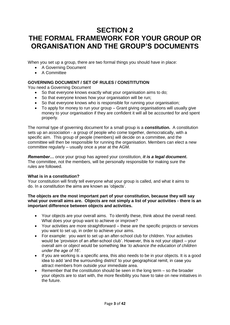# **SECTION 2 THE FORMAL FRAMEWORK FOR YOUR GROUP OR ORGANISATION AND THE GROUP'S DOCUMENTS**

When you set up a group, there are two formal things you should have in place:

- A Governing Document
- A Committee

# **GOVERNING DOCUMENT / SET OF RULES / CONSTITUTION**

You need a Governing Document

- So that everyone knows exactly what your organisation aims to do;
- So that everyone knows how your organisation will be run;
- So that everyone knows who is responsible for running your organisation;
- To apply for money to run your group Grant giving organisations will usually give money to your organisation if they are confident it will all be accounted for and spent properly.

 The normal type of governing document for a small group is a *constitution***.** A constitution sets up an *association* - a group of people who come together, democratically, with a specific aim. This group of people (members) will decide on a committee, and the committee will then be responsible for running the organisation. Members can elect a new committee regularly – usually once a year at the AGM.

 *Remember…* once your group has agreed your constitution, *it is a legal document***.**  The committee, not the members, will be personally responsible for making sure the rules are followed.

# **What is in a constitution?**

 Your constitution will firstly tell everyone what your group is called, and what it aims to do. In a constitution the aims are known as 'objects'.

# **The objects are the most important part of your constitution, because they will say what your overall aims are. Objects are not simply a list of your activities - there is an important difference between objects and activities.**

- $\bullet$  What does your group want to achieve or improve? Your objects are your overall aims. To identify these, think about the overall need.
- Your activities are more straightforward these are the specific projects or services you want to set up, in order to achieve your aims.
- For example: you want to set up an after-school club for children. Your activities would be 'provision of an after-school club'. However, this is not your object – your overall aim or *object* would be something like '*to advance the education of children under the age of 16'.*
- $\bullet$  idea to add 'and the surrounding district' to your geographical remit, in case you attract members from outside your immediate area. If you are working is a specific area, this also needs to be in your objects. It is a good
- Remember that the constitution should be seen in the long term so the broader your objects are to start with, the more flexibility you have to take on new initiatives in the future.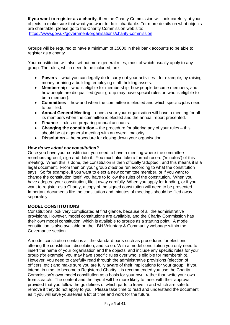**If you want to register as a charity,** then the Charity Commission will look carefully at your objects to make sure that what you want to do is charitable. For more details on what objects are charitable, please go to the Charity Commission web site: https://www.gov.uk/government/organisations/charity-commission

 Groups will be required to have a minimum of £5000 in their bank accounts to be able to register as a charity.

 Your constitution will also set out more general rules, most of which usually apply to any group. The rules, which need to be included, are:

- **Powers**  what you can legally do to carry out your activities for example, by raising money or hiring a building, employing staff, holding assets.
- **Membership**  who is eligible for membership, how people become members, and how people are disqualified (your group may have special rules on who is eligible to be a member).
- **Committees**  how and when the committee is elected and which specific jobs need to be filled.
- **Annual General Meeting**  once a year your organisation will have a meeting for all its members when the committee is elected and the annual report presented.
- **Finance**  rules on preparing annual accounts.
- **Changing the constitution** the procedure for altering any of your rules this should be at a general meeting with an overall majority.
- **Dissolution** the procedure for closing down your organisation.

# *How do we adopt our constitution?*

 Once you have your constitution, you need to have a meeting where the committee members agree it, sign and date it. You must also take a formal record ('minutes') of this meeting. When this is done, the constitution is then officially 'adopted', and this means it is a legal document. From then on your group *must* be run according to what the constitution says. So for example, if you want to elect a new committee member, or if you want to change the constitution itself, you have to follow the rules of the constitution. When you have adopted your constitution, file it away carefully. When you apply for funding, or if you want to register as a Charity, a copy of the signed constitution will need to be presented. Important documents like the constitution and minutes of meetings should be filed away separately.

# **MODEL CONSTITUTIONS**

 Constitutions look very complicated at first glance, because of all the administrative provisions. However, model constitutions are available, and the Charity Commission has their own model constitution, which is available to groups as a starting point. A model constitution is also available on the LBH Voluntary & Community webpage within the Governance section.

 A model constitution contains all the standard parts such as procedures for elections, altering the constitution, dissolution, and so on. With a model constitution you only need to insert the name of your organisation and the objects, and include any specific rules for your group (for example, you may have specific rules over who is eligible for membership). However, you need to carefully read through the administrative provisions (election of officers, etc.) and make sure you are fully aware of their implications for your group. If you intend, in time, to become a Registered Charity it is recommended you use the Charity Commission's own model constitution as a basis for your own, rather than write your own from scratch. The content and the layout will be more likely to meet with their approval, provided that you follow the guidelines of which parts to leave in and which are safe to remove if they do not apply to you. Please take time to read and understand the document as it you will save yourselves a lot of time and work for the future.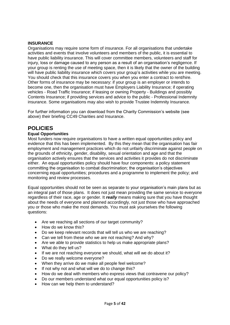# **INSURANCE**

 Organisations may require some form of insurance. For all organisations that undertake activities and events that involve volunteers and members of the public, it is essential to have public liability insurance. This will cover committee members, volunteers and staff for injury, loss or damage caused to any person as a result of an organisation's negligence. If your group is renting the use of meeting space, then it is likely that the owner of the building will have public liability insurance which covers your group's activities while you are meeting. You should check that this insurance covers you when you enter a contract to rent/hire. Other forms of insurance may be necessary: if your group is an employer or intends to become one, then the organisation must have Employers Liability Insurance; if operating vehicles - Road Traffic Insurance; if leasing or owning Property - Buildings and possibly Contents Insurance; if providing services and advice to the public - Professional Indemnity insurance. Some organisations may also wish to provide Trustee Indemnity Insurance.

 For further information you can download from the Charity Commission's website (see above) their briefing CC49 Charities and Insurance.

# **POLICIES**

# **Equal Opportunities**

 Most funders now require organisations to have a written equal opportunities policy and evidence that this has been implemented. By this they mean that the organisation has fair employment and management practices which do not unfairly discriminate against people on the grounds of ethnicity, gender, disability, sexual orientation and age and that the organisation actively ensures that the services and activities it provides do not discriminate either. An equal opportunities policy should have four components: a policy statement committing the organisation to combat discrimination; the organisation's objectives concerning equal opportunities; procedures and a programme to implement the policy; and monitoring and review processes.

 Equal opportunities should not be seen as separate to your organisation's main plans but as an integral part of those plans. It does not just mean providing the same service to everyone regardless of their race, age or gender. It *really* means making sure that you have thought about the needs of everyone and planned accordingly, not just those who have approached you or those who make the most demands. You must ask yourselves the following questions:

- Are we reaching all sections of our target community?
- How do we know this?
- Do we keep relevant records that will tell us who we are reaching?
- $\bullet$ Can we tell from these *who* we are not reaching? And why?
- Are we able to provide statistics to help us make appropriate plans?
- What do they tell us?
- $\bullet$ If we are not reaching everyone we should, what will we do about it?
- $\bullet$ Do we really welcome everyone?
- When they arrive do we make all people feel welcome?
- If not why not and what will we do to change this?
- $\bullet$ How do we deal with members who express views that contravene our policy?
- $\bullet$ Do our members understand what our equal opportunities policy is?
- $\bullet$ How can we help them to understand?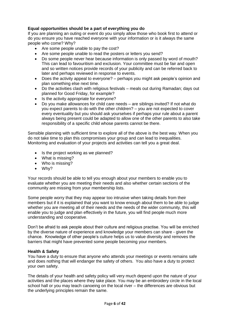# **Equal opportunities should be a part of everything you do**

 If you are planning an outing or event do you simply allow those who book first to attend or do you ensure you have reached everyone with your information or is it always the same people who come? Why?

- Are some people unable to pay the cost?
- Are some people unable to read the posters or letters you send?
- $\bullet$  This can lead to favouritism and exclusion. Your committee must be fair and open and so written notices provide records of your publicity and can be referred back to later and perhaps reviewed in response to events. Do some people never hear because information is only passed by word of mouth?
- $\bullet$  plan something else next time. Does the activity appeal to everyone? – perhaps you might ask people's opinion and
- Do the activities clash with religious festivals meals out during Ramadan; days out planned for Good Friday, for example?
- Is the activity appropriate for everyone?
- $\bullet$  you expect parents to do with the other children? – you are not expected to cover every eventuality but you should ask yourselves if perhaps your rule about a parent always being present could be adapted to allow one of the other parents to also take responsibility of a specific child whose parents cannot be there. Do you make allowances for child care needs – are siblings invited? If not what do

 Sensible planning with sufficient time to explore all of the above is the best way. When you do not take time to plan this compromises your group and can lead to inequalities. Monitoring and evaluation of your projects and activities can tell you a great deal.

- Is the project working as we planned?
- What is missing?
- Who is missing?
- Why?

 Your records should be able to tell you enough about your members to enable you to evaluate whether you are meeting their needs and also whether certain sections of the community are missing from your membership lists.

 Some people worry that they may appear too intrusive when taking details from their members but if it is explained that you want to know enough about them to be able to judge whether you are meeting all of their needs and the needs of the wider community, this will enable you to judge and plan effectively in the future, you will find people much more understanding and cooperative.

 Don't be afraid to ask people about their culture and religious practise. You will be enriched by the diverse nature of experience and knowledge your members can share - given the chance. Knowledge of other people's culture helps us to value diversity and removes the barriers that might have prevented some people becoming your members.

# **Health & Safety**

 You have a duty to ensure that anyone who attends your meetings or events remains safe and does nothing that will endanger the safety of others. You also have a duty to protect your own safety.

 The details of your health and safety policy will very much depend upon the nature of your activities and the places where they take place. You may be an embroidery circle in the local school hall or you may teach canoeing on the local river – the differences are obvious but the underlying principles remain the same.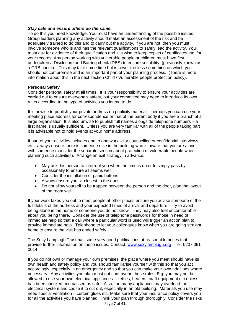# *Stay safe and ensure others do the same.*

 To do this you need knowledge. You must have an understanding of the possible issues. Group leaders planning any activity should make an assessment of the risk and be adequately trained to do this and to carry out the activity. If you are not, then you must involve someone who is and has the relevant qualifications to safely lead the activity. You must ask for evidence of their qualification and it is wise to keep copies of certificates etc. for your records. Any person working with vulnerable people or children must have first undertaken a Disclosure and Barring check (DBS) to ensure suitability, (previously known as a CRB check). This may take some time but is never the less something on which you should not compromise and is an important part of your planning process. (There is more information about this in the next section Child / Vulnerable people protection policy).

# **Personal Safety**

.

 Consider personal safety at all times. It is your responsibility to ensure your activities are carried out to ensure everyone's safety, but your committee may need to introduce its own rules according to the type of activities you intend to do.

 It is unwise to publish your private address on publicity material – perhaps you can use your meeting place address for correspondence or that of the parent body if you are a branch of a large organisation. It is also unwise to publish full names alongside telephone numbers – a first name is usually sufficient. Unless you are very familiar with all of the people taking part it is advisable not to hold events at your home address.

 If part of your activities includes one to one work – for counselling or confidential interviews etc., always ensure there is someone else in the building who is aware that you are alone with someone (consider the separate section about protection of vulnerable people when planning such activities). Arrange an exit strategy in advance:

- $\bullet$  occasionally to ensure all seems well May ask this person to interrupt you when the time is up or to simply pass by
- Consider the installation of panic buttons
- Always ensure you sit closest to the door
- $\bullet$  of the room well. Do not allow yourself to be trapped between the person and the door, plan the layout

 If your work takes you out to meet people at other places ensure you advise someone of the full details of the address and your expected times of arrival and departure. Try to avoid being alone in the home of someone you do not know – they may also feel uncomfortable about you being there. Consider the use of telephone passwords for those in need of immediate help so that a call where a particular word is used will trigger an action plan to provide immediate help. Telephone to let your colleagues know when you are going straight home to ensure the visit has ended safely.

 The Suzy Lamplugh Trust has some very good publications at reasonable prices that provide further information on these issues. Contact: [www.suzylamplugh.org](http://www.suzylamplugh.org/) Tel: 0207 091 0014

 If you do not own or manage your own premises, the place where you meet should have its own health and safety policy and you should familiarise yourself with this so that you act accordingly, especially in an emergency and so that you can make your own additions where necessary. Any activities you plan must not contravene these rules. E.g. you may not be allowed to use your own electrical appliances – kettles, heaters, craft equipment etc unless it has been checked and passed as safe. Also, too many appliances may overload the electrical system and cause it to cut out, especially in an old building. Materials you use may need special ventilation – certain glues etc. Make sure that your insurance policy covers you for all the activities you have planned. Think your plan through thoroughly. Consider the risks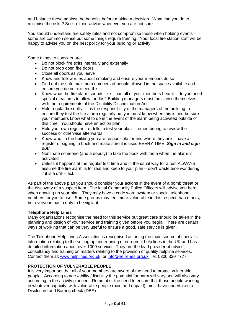and balance these against the benefits before making a decision. What can you do to minimise the risks? Seek expert advice whenever you are not sure.

 You should understand fire safety rules and not compromise these when holding events – some are common sense but some things require training. Your local fire station staff will be happy to advise you on the best policy for your building or activity.

Some things to consider are:

- Do not block fire exits internally and externally
- Do not prop open fire doors
- Close all doors as you leave
- Know and follow rules about smoking and ensure your members do so
- Find out the safe maximum numbers of people allowed in the space available and ensure you do not exceed this
- $\bullet$  special measures to allow for this? Building managers must familiarise themselves with the requirements of the Disability Discrimination Act. Know what the fire alarm sounds like  $-$  can all of your members hear it  $-$  do you need
- Hold regular fire drills it is the responsibility of the managers of the building to ensure they test the fire alarm regularly but you must know when this is and be sure your members know what to do in the event of the alarm being activated outside of this time. You should have an action plan.
- Hold your own regular fire drills to test your plan remembering to review the success or otherwise afterwards
- $\bullet$  register or signing in book and make sure it is used EVERY TIME. *Sign in and sign*  Know who, in the building you are responsible for and where they are – have a *out!*
- Nominate someone (and a deputy) to take the book with them when the alarm is activated
- Unless it happens at the regular test time and in the usual way for a test ALWAYS assume the fire alarm is for real and keep to your plan – don't waste time wondering if it is a drill – act.

 As part of the above plan you should consider your actions in the event of a bomb threat or the discovery of a suspect item. The local Community Police Officers will advise you here when drawing up your plan. They may have a code word system or special telephone numbers for you to use. Some groups may feel more vulnerable in this respect than others, but everyone has a duty to be vigilant.

# **Telephone Help Lines**

 Many organisations recognise the need for this service but great care should be taken in the planning and design of your service and training given before you begin. There are certain ways of working that can be very useful to ensure a good, safe service is given.

 The Telephone Help Lines Association is recognised as being the main source of specialist information relating to the setting up and running of non-profit help lines in the UK and has detailed information about over 1000 services. They are the lead provider of advice, consultancy and training on matters relating to the provision of quality helpline services. Contact them at: [www.helplines.org.uk](http://www.helplines.org.uk/) or [info@helplines.org.uk](mailto:info@helplines.org.uk) Tel: 0300 330 7777.

# **PROTECTION OF VULNERABLE PEOPLE**

 It is very important that all of your members are aware of the need to protect vulnerable people. According to age /ability /disability the potential for harm will vary and will also vary according to the activity planned. Remember the need to ensure that those people working in whatever capacity, with vulnerable people (paid and unpaid), must have undertaken a Disclosure and Barring check (DBS).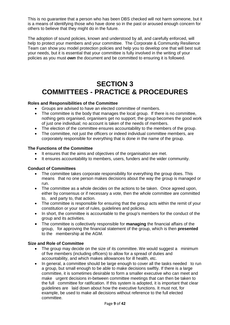This is no guarantee that a person who has been DBS checked will not harm someone, but it is a means of identifying those who have done so in the past or aroused enough concern for others to believe that they might do in the future.

 The adoption of sound policies, known and understood by all, and carefully enforced, will help to protect your members and your committee. The Corporate & Community Resilience Team can show you model protection policies and help you to develop one that will best suit your needs, but it is essential that your committee is fully involved in the writing of your policies as you must *own* the document and be committed to ensuring it is followed.

# **COMMITTEES - PRACTICE & PROCEDURES SECTION 3**

# **Roles and Responsibilities of the Committee**

- Groups are advised to have an elected committee of members.
- $\bullet$  nothing gets organised, organisers get no support; the group becomes the good work of just one individual; no account is taken of the needs of members. The committee is the body that manages the local group. If there is no committee,
- The election of the committee ensures accountability to the members of the group.
- corporately responsible for everything that is done in the name of the group. The committee, not just the officers or indeed individual committee members, are

# **The Functions of the Committee**

- It ensures that the aims and objectives of the organisation are met.
- $\bullet$ It ensures accountability to members, users, funders and the wider community.

# **Conduct of Committees**

- $\bullet$  means that no one person makes decisions about the way the group is managed or The committee takes corporate responsibility for everything the group does. This run.
- $\bullet$  either by consensus or if necessary a vote, then the whole committee are committed to, and party to, that action. The committee as a whole decides on the actions to be taken. Once agreed upon,
- The committee is responsible for ensuring that the group acts within the remit of your constitution or your set of rules, guidelines and policies.
- $\bullet$  In short, the committee is accountable to the group's members for the conduct of the group and its activities.
- The committee is collectively responsible for **managing** the financial affairs of the group, for approving the financial statement of the group, which is then **presented**  to the membership at the AGM.

# **Size and Role of Committee**

- of five members (including officers) to allow for a spread of duties and accountability, and which makes allowances for ill health, etc. The group may decide on the size of its committee. We would suggest a minimum
- In general, a committee should be large enough to cover all the tasks needed to run a group, but small enough to be able to make decisions swiftly. If there is a large committee, it is sometimes desirable to form a smaller executive who can meet and make urgent decisions in-between committee meetings that can then be taken to the full committee for ratification. If this system is adopted, it is important that clear guidelines are laid down about how the executive functions. It must not, for example, be used to make all decisions without reference to the full elected committee.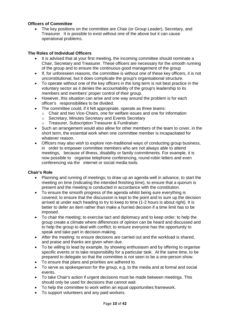# **Officers of Committee**

 Treasurer. It is possible to exist without one of the above but it can cause operational problems. The key positions on the committee are Chair (or Group Leader), Secretary, and

# **The Roles of Individual Officers**

- Chair, Secretary and Treasurer. These officers are necessary for the smooth running of the group and to ensure the continuous good management of the group It is advised that at your first meeting, the incoming committee should nominate a
- $\bullet$  unconstitutional, but it does complicate the group's organisational structure. If, for unforeseen reasons, the committee is without one of these key officers, it is not
- $\bullet$  voluntary sector as it denies the accountability of the group's leadership to its members and members' proper control of their group. To operate without one of the key officers in the long term is not best practice in the
- However, this situation can arise and one way around the problem is for each officer's responsibilities to be divided.
- The committee could, if it felt appropriate, operate as three teams:
	- $\circ$ Chair and two Vice-Chairs, one for welfare issues and one for information
	- o Secretary, Minutes Secretary and Events Secretary
	- o Treasurer, Subscription Treasurer & Fundraiser.
- $\bullet$  short term, the essential work when one committee member is incapacitated for Such an arrangement would also allow for other members of the team to cover, in the whatever reason.
- in order to empower committee members who are not always able to attend meetings, because of illness, disability or family commitments. For example, it is now possible to organise telephone conferencing, round-robin letters and even conferencing via the internet or social media tools. Officers may also wish to explore non-traditional ways of conducting group business,

# **Chair's Role**

- meeting on time (indicating the intended finishing time), to ensure that a quorum is present and the meeting is conducted in accordance with the constitution. Planning and running of meetings; to draw up an agenda well in advance, to start the
- To ensure the smooth progress of the agenda whilst being sure everything is covered; to ensure that the discussion is kept to the point and to sum up the decision arrived at under each heading to try to keep to time (1-2 hours is about right). It is better to defer an item rather than make a hurried decision if a time limit has to be imposed.
- $\bullet$  group create a climate where differences of opinion can be heard and discussed and to help the group to deal with conflict; to ensure everyone has the opportunity to speak and take part in decision-making. To chair the meeting; to exercise tact and diplomacy and to keep order; to help the
- and praise and thanks are given when due. After the meeting: to ensure decisions are carried out and the workload is shared,
- $\bullet$  specific events or to take responsibility for a particular task. At the same time, to be prepared to delegate so that the committee is not seen to be a one-person show. To be willing to lead by example, by showing enthusiasm and by offering to organise
- $\bullet$ To ensure that plans and priorities are adhered to.
- To serve as spokesperson for the group, e.g. to the media and at formal and social events.
- $\bullet$  should only be used for decisions that cannot wait. To take Chair's action if urgent decisions must be made between meetings. This
- $\bullet$ To help the committee to work within an equal opportunities framework.
- $\bullet$ To support volunteers and any paid workers.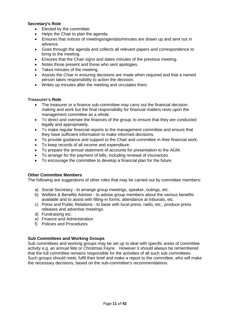# **Secretary's Role**

- Elected by the committee.
- Helps the Chair to plan the agenda.
- Ensures that notices of meetings/agendas/minutes are drawn up and sent out in advance.
- Goes through the agenda and collects all relevant papers and correspondence to bring to the meeting.
- Ensures that the Chair signs and dates minutes of the previous meeting.
- Notes those present and those who sent apologies.
- Takes minutes of the meeting.
- Assists the Chair in ensuring decisions are made when required and that a named person takes responsibility to action the decision.
- Writes up minutes after the meeting and circulates them.

# **Treasurer's Role**

- making and work but the final responsibility for financial matters rests upon the management committee as a whole. The treasurer or a finance sub-committee may carry out the financial decision-
- To direct and oversee the finances of the group; to ensure that they are conducted legally and appropriately.
- To make regular financial reports to the management committee and ensure that they have sufficient information to make informed decisions.
- $\bullet$ To provide guidance and support to the Chair and committee in their financial work.
- $\bullet$ To keep records of all income and expenditure.
- To prepare the annual statement of accounts for presentation to the AGM.
- To arrange for the payment of bills, including renewal of insurances
- $\bullet$ To encourage the committee to develop a financial plan for the future.

# **Other Committee Members**

The following are suggestions of other roles that may be carried out by committee members:

- a) Social Secretary to arrange group meetings, speaker, outings, etc.
- b) Welfare & Benefits Adviser to advise group members about the various benefits available and to assist with filling-in forms, attendance at tribunals, etc.
- c) Press and Public Relations to liaise with local press, radio, etc., produce press releases and advertise meetings.
- d) Fundraising etc.
- e) Finance and Administration
- f) Policies and Procedures

# **Sub Committees and Working Groups**

 Sub committees and working groups may be set up to deal with specific areas of committee activity e.g. an annual fete or Christmas Fayre. However it should always be remembered that the full committee remains responsible for the activities of all such sub committees. Such groups should meet, fulfil their brief and make a report to the committee, who will make the necessary decisions, based on the sub-committee's recommendations.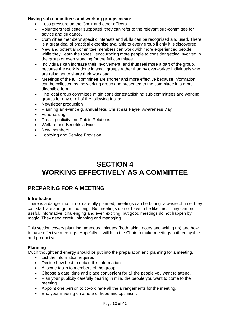# **Having sub-committees and working groups mean:**

- Less pressure on the Chair and other officers.
- Volunteers feel better supported; they can refer to the relevant sub-committee for advice and guidance.
- Committee members' specific interests and skills can be recognised and used. There is a great deal of practical expertise available to every group if only it is discovered.
- $\bullet$  while they "learn the ropes", encouraging more people to consider getting involved in the group or even standing for the full committee. New and potential committee members can work with more experienced people
- Individuals can increase their involvement, and thus feel more a part of the group, because the work is done in small groups rather than by overworked individuals who are reluctant to share their workload.
- Meetings of the full committee are shorter and more effective because information can be collected by the working group and presented to the committee in a more digestible form.
- $\bullet$  groups for any or all of the following tasks: The local group committee might consider establishing sub-committees and working
- Newsletter production
- Planning an event e.g. annual fete, Christmas Fayre, Awareness Day
- Fund-raising
- Press, publicity and Public Relations
- Welfare and Benefits advice
- New members
- Lobbying and Service Provision

# **SECTION 4 WORKING EFFECTIVELY AS A COMMITTEE**

# **PREPARING FOR A MEETING**

# **Introduction**

 There is a danger that, if not carefully planned, meetings can be boring, a waste of time, they can start late and go on too long. But meetings do not have to be like this. They can be useful, informative, challenging and even exciting, but good meetings do not happen by magic. They need careful planning and managing.

 This section covers planning, agendas, minutes (both taking notes and writing up) and how to have effective meetings. Hopefully, it will help the Chair to make meetings both enjoyable and productive.

# **Planning**

Much thought and energy should be put into the preparation and planning for a meeting.

- $\bullet$ List the information required
- Decide how best to obtain this information.
- Allocate tasks to members of the group
- $\bullet$ Choose a date, time and place convenient for all the people you want to attend.
- $\bullet$  Plan your publicity carefully bearing in mind the people you want to come to the meeting.
- Appoint one person to co-ordinate all the arrangements for the meeting.
- End your meeting on a note of hope and optimism.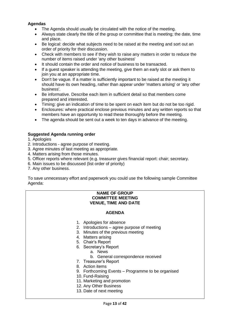# **Agendas**

- The Agenda should usually be circulated with the notice of the meeting.
- Always state clearly the title of the group or committee that is meeting; the date, time and place.
- Be logical: decide what subjects need to be raised at the meeting and sort out an order of priority for their discussion.
- Check with members to see if they wish to raise any matters in order to reduce the number of items raised under 'any other business'
- $\bullet$ It should contain the order and notice of business to be transacted.
- If a guest speaker is attending the meeting, give them an early slot or ask them to join you at an appropriate time.
- Don't be vague. If a matter is sufficiently important to be raised at the meeting it should have its own heading, rather than appear under 'matters arising' or 'any other business'.
- Be informative. Describe each item in sufficient detail so that members come prepared and interested.
- Timing: give an indication of time to be spent on each item but do not be too rigid.
- Enclosures: where practical enclose previous minutes and any written reports so that members have an opportunity to read these thoroughly before the meeting.
- The agenda should be sent out a week to ten days in advance of the meeting.

# **Suggested Agenda running order**

- 1. Apologies
- 2. Introductions agree purpose of meeting.
- 3. Agree minutes of last meeting as appropriate.
- 4. Matters arising from those minutes.
- 5. Officer reports where relevant (e.g. treasurer gives financial report: chair; secretary.
- 6. Main issues to be discussed (list order of priority)
- 7. Any other business.

 To save unnecessary effort and paperwork you could use the following sample Committee Agenda:

# **VENUE, TIME AND DATE NAME OF GROUP COMMITTEE MEETING**

# **AGENDA**

- 1. Apologies for absence
- 2. Introductions agree purpose of meeting
- 3. Minutes of the previous meeting
- 4. Matters arising
- 5. Chair's Report
- 6. Secretary's Report
	- a. News
	- b. General correspondence received
- 7. Treasurer's Report
- 8. Action items
- 9. Forthcoming Events Programme to be organised
- 10. Fund-Raising
- 11. Marketing and promotion
- 12. Any Other Business
- 13. Date of next meeting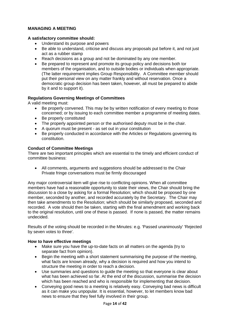# **MANAGING A MEETING**

# **A satisfactory committee should:**

- Understand its purpose and powers
- Be able to understand, criticise and discuss any proposals put before it, and not just act as a rubber stamp
- Reach decisions as a group and not be dominated by any one member.
- members of the organisation, and to outside bodies or individuals when appropriate. (The latter requirement implies Group Responsibility. A Committee member should put their personal view on any matter frankly and without reservation. Once a democratic group decision has been taken, however, all must be prepared to abide by it and to support it). Be prepared to represent and promote its group policy and decisions both tor

# **Regulations Governing Meetings of Committees**

A valid meeting must:

- Be properly convened. This may be by written notification of every meeting to those concerned; or by issuing to each committee member a programme of meeting dates.
- Be properly constituted
- The properly appointed person or the authorised deputy must be in the chair.
- A quorum must be present as set out in your constitution
- Be properly conducted in accordance with the Articles or Regulations governing its constitution.

## **Conduct of Committee Meetings**

 There are two important principles which are essential to the timely and efficient conduct of committee business:

 $\bullet$  Private fringe conversations must be firmly discouraged All comments, arguments and suggestions should be addressed to the Chair

 Any major controversial item will give rise to conflicting opinions. When all committee members have had a reasonable opportunity to state their views, the Chair should bring the discussion to a close by asking for a formal Resolution; which should be proposed by one member, seconded by another, and recorded accurately by the Secretary. The Chair may then take amendments to the Resolution; which should be similarly proposed, seconded and recorded. A vote should then be taken, starting with the final amendment and working back to the original resolution, until one of these is passed. If none is passed, the matter remains undecided.

 Results of the voting should be recorded in the Minutes: e.g. 'Passed unanimously' 'Rejected by seven votes to three'.

# **How to have effective meetings**

- Make sure you have the up-to-date facts on all matters on the agenda (try to separate fact from opinion).
- Begin the meeting with a short statement summarising the purpose of the meeting, what facts are known already, why a decision is required and how you intend to structure the meeting in order to reach a decision.
- Use summaries and questions to guide the meeting so that everyone is clear about what has been achieved so far. At the end of the discussion, summarise the decision which has been reached and who is responsible for implementing that decision.
- Conveying good news to a meeting is relatively easy. Conveying bad news is difficult as it can make you unpopular. It is essential, however, to let members know bad news to ensure that they feel fully involved in their group.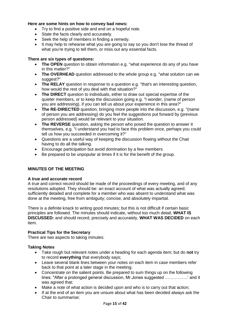# **Here are some hints on how to convey bad news:**

- Try to find a positive side and end on a hopeful note.
- State the facts clearly and accurately.
- Seek the help of members in finding a remedy.
- $\bullet$  what you're trying to tell them, or miss out any essential facts. It may help to rehearse what you are going to say so you don't lose the thread of

# **There are six types of questions:**

- The OPEN question to obtain information e.g. "what experience do any of you have in this matter?"
- **The OVERHEAD** question addressed to the whole group e.g. "what solution can we suggest?"
- The RELAY question in response to a question e.g. "that's an interesting question, how would the rest of you deal with that situation?"
- **The DIRECT** question to individuals, either to draw out special expertise of the quieter members, or to keep the discussion going e.g. "I wonder, (name of person you are addressing), if you can tell us about your experience in this area?"
- **The RE-DIRECTED** question, bringing more people into the discussion, e.g. "(name of person you are addressing) do you feel the suggestions put forward by (previous person addressed) would be relevant to your situation.
- **The REVERSE** question, asking the person who posed the question to answer it themselves, e.g. "I understand you had to face this problem once, perhaps you could tell us how you succeeded in overcoming it?"
- Questions are a useful way of keeping the discussion flowing without the Chair having to do all the talking.
- Encourage participation but avoid domination by a few members
- Be prepared to be unpopular at times if it is for the benefit of the group.

# **MINUTES OF THE MEETING**

# **A true and accurate record**

 A true and correct record should be made of the proceedings of every meeting, and of any resolutions adopted. They should be: an exact account of what was actually agreed; sufficiently detailed and complete for a member who was absent to understand what was done at the meeting, free from ambiguity; concise, and absolutely impartial.

 There is a definite knack to writing good minutes; but this is not difficult if certain basic principles are followed. The minutes should indicate, without too much detail, **WHAT IS DISCUSSED:** and should record, precisely and accurately, **WHAT WAS DECIDED** on each item.

# **Practical Tips for the Secretary**

There are two aspects to taking minutes:

# **Taking Notes**

- Take rough but relevant notes under a heading for each agenda item; but do **not** try to record **everything** that everybody says;
- Leave several blank lines between your notes on each item in case members refer back to that point at a later stage in the meeting;
- Concentrate on the salient points. Be prepared to sum things up on the following lines: "After a prolonged general discussion, Mr.Jones suggested …………….' and it was agreed that;
- Make a note of what action is decided upon and who is to carry out that action;
- $\bullet$  Chair to summarise; If at the end of an item you are unsure about what has been decided always ask the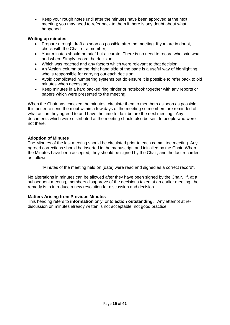Keep your rough notes until after the minutes have been approved at the next meeting; you may need to refer back to them if there is any doubt about what happened.

# **Writing up minutes**

- Prepare a rough draft as soon as possible after the meeting. If you are in doubt, check with the Chair or a member;
- Your minutes should be brief but accurate. There is no need to record who said what and when. Simply record the decision;
- Which was reached and any factors which were relevant to that decision.
- An 'Action' column on the right hand side of the page is a useful way of highlighting who is responsible for carrying out each decision;
- Avoid complicated numbering systems but do ensure it is possible to refer back to old minutes when necessary.
- Keep minutes in a hard backed ring binder or notebook together with any reports or papers which were presented to the meeting.

 When the Chair has checked the minutes, circulate them to members as soon as possible. It is better to send them out within a few days of the meeting so members are reminded of what action they agreed to and have the time to do it before the next meeting. Any documents which were distributed at the meeting should also be sent to people who were not there.

# **Adoption of Minutes**

 The Minutes of the last meeting should be circulated prior to each committee meeting. Any agreed corrections should be inserted in the manuscript, and initialled by the Chair. When the Minutes have been accepted, they should be signed by the Chair, and the fact recorded as follows: as follows:<br>"Minutes of the meeting held on (date) were read and signed as a correct record".

 No alterations in minutes can be allowed after they have been signed by the Chair. If, at a subsequent meeting, members disapprove of the decisions taken at an earlier meeting, the remedy is to introduce a new resolution for discussion and decision.

# **Matters Arising from Previous Minutes**

 This heading refers to **information** only, or to **action outstanding.** Any attempt at re-discussion on minutes already written is not acceptable, not good practice.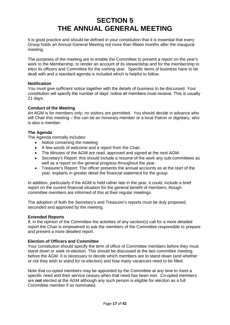# **SECTION 5 THE ANNUAL GENERAL MEETING**

 It is good practice and should be defined in your constitution that it is essential that every Group holds an Annual General Meeting not more than fifteen months after the inaugural meeting.

 The purposes of the meeting are to enable the Committee to present a report on the year's work to the Membership, to render an account of its stewardship and for the membership to elect its officers and Committee for the coming year. Specific items of business have to be dealt with and a standard agenda is included which is helpful to follow.

# **Notification**

 You must give sufficient notice together with the details of business to be discussed. Your constitution will specify the number of days' notice all members must receive. This is usually 21 days.

## **Conduct of the Meeting**

 An AGM is for members only; no visitors are permitted. You should decide in advance who will Chair this meeting – this can be an honorary member or a local Patron or dignitary, who is also a member.

## **The Agenda**

The Agenda normally includes:

- Notice convening the meeting
- A few words of welcome and a report from the Chair.
- $\bullet$ The Minutes of the AGM are read, approved and signed at the next AGM.
- Secretary's Report: this should include a resume of the work any sub-committees as well as a report on the general progress throughout the year.
- Treasurer's Report: The officer presents the annual accounts as at the start of the year, explains in greater detail the financial statement for the group.

 In addition, particularly if the AGM is held rather late in the year, it could, include a brief report on the current financial situation for the general benefit of members, though committee members are informed of this at their regular meetings.

 The adoption of both the Secretary's and Treasurer's reports must be duly proposed, seconded and approved by the meeting.

#### **Extended Reports**

 If, in the opinion of the Committee the activities of any section(s) call for a more detailed report the Chair is empowered to ask the members of the Committee responsible to prepare and present a more detailed report.

#### **Election of Officers and Committee**

 Your constitution should specify the term of office of Committee members before they must stand down or seek re-election. This should be discussed at the last committee meeting before the AGM. It is necessary to decide which members are to stand down (and whether or not they wish to stand for re-election) and how many vacancies need to be filled.

 Note that co-opted members may be appointed by the Committee at any time to meet a specific need and their service ceases when that need has been met. Co-opted members are **not** elected at the AGM although any such person is eligible for election as a full Committee member if so nominated.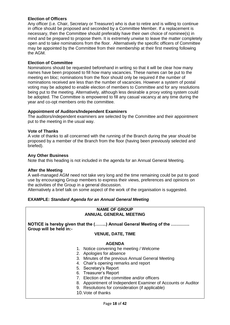# **Election of Officers**

 Any officer (i.e. Chair, Secretary or Treasurer) who is due to retire and is willing to continue in office should be proposed and seconded by a Committee Member. If a replacement is necessary, then the Committee should preferably have their own choice of nominee(s) in mind and be prepared to propose them. It is extremely unwise to leave the matter completely open and to take nominations from the floor. Alternatively the specific officers of Committee may be appointed by the Committee from their membership at their first meeting following the AGM.

# **Election of Committee**

 Nominations should be requested beforehand in writing so that it will be clear how many names have been proposed to fill how many vacancies. These names can be put to the meeting en bloc; nominations from the floor should only be required if the number of nominations received are less than the number of vacancies. However a system of postal voting may be adopted to enable election of members to Committee and for any resolutions being put to the meeting. Alternatively, although less desirable a proxy voting system could be adopted. The Committee is empowered to fill any casual vacancy at any time during the year and co-opt members onto the committee.

## **Appointment of Auditors/Independent Examiners**

 The auditors/independent examiners are selected by the Committee and their appointment put to the meeting in the usual way.

## **Vote of Thanks**

 A vote of thanks to all concerned with the running of the Branch during the year should be proposed by a member of the Branch from the floor (having been previously selected and briefed).

# **Any Other Business**

Note that this heading is not included in the agenda for an Annual General Meeting.

#### **After the Meeting**

 A well-managed AGM need not take very long and the time remaining could be put to good use by encouraging Group members to express their views, preferences and opinions on the activities of the Group in a general discussion.

Alternatively a brief talk on some aspect of the work of the organisation is suggested.

# **EXAMPLE:** *Standard Agenda for an Annual General Meeting*

| <b>NAME OF GROUP</b><br><b>ANNUAL GENERAL MEETING</b><br>NOTICE is hereby given that the () Annual General Meeting of the<br>Group will be held in:- |  |
|------------------------------------------------------------------------------------------------------------------------------------------------------|--|
|                                                                                                                                                      |  |
| <b>AGENDA</b>                                                                                                                                        |  |
| 1. Notice convening he meeting / Welcome                                                                                                             |  |
| 2. Apologies for absence                                                                                                                             |  |
| 3. Minutes of the previous Annual General Meeting                                                                                                    |  |
| 4. Chair's opening remarks and report                                                                                                                |  |
| 5. Secretary's Report                                                                                                                                |  |
| 6. Treasurer's Report                                                                                                                                |  |
| 7. Election of the committee and/or officers                                                                                                         |  |
| 8. Appointment of Independent Examiner of Accounts or Auditor                                                                                        |  |
| 9. Resolutions for consideration (if applicable)                                                                                                     |  |
| 10. Vote of thanks                                                                                                                                   |  |
|                                                                                                                                                      |  |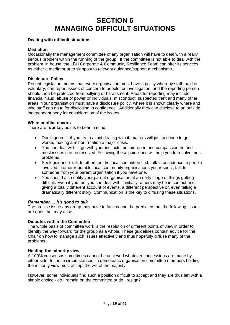# **SECTION 6 MANAGING DIFFICULT SITUATIONS**

# **Dealing with difficult situations**

#### **Mediation**

 Occasionally the management committee of any organisation will have to deal with a really serious problem within the running of the group. If the committee is not able to deal with the problem 'in house' the LBH Corporate & Community Resilience Team can offer its services as either a mediator or to signpost to relevant guidance/support mechanisms.

## **Disclosure Policy**

 Recent legislation means that every organisation must have a policy whereby staff, paid or voluntary, can report issues of concern to people for investigation, and the reporting person should then be protected from bullying or harassment. Areas for reporting may include: financial fraud, abuse of power or individuals, misconduct, suspected theft and many other areas. Your organisation must have a disclosure policy, where it is shown clearly where and who staff can go to for disclosing in confidence. Additionally they can disclose to an outside independent body for consideration of the issues.

#### **When conflict occurs**

There are **four** key points to bear in mind:

- $\bullet$  worse, making a minor irritation a major crisis. Don't ignore it: if you try to avoid dealing with it, matters will just continue to get
- You can deal with it: go with your instincts, be fair, open and compassionate and most issues can be resolved. Following these guidelines will help you to resolve most problems.
- Seek guidance: talk to others on the local committee first, talk in confidence to people involved in other reputable local community organisations you respect, talk to someone from your parent organisation if you have one.
- $\bullet$  difficult. Even if you feel you can deal with it initially, others may be in contact and giving a totally different account of events, a different perspective or, even telling a dramatically different story. Communication is the key to diffusing these situations. You should also notify your parent organisation at an early stage of things getting

#### *Remember…..it's good to talk.*

 The precise issue any group may have to face cannot be predicted, but the following issues are ones that may arise.

#### **Disputes within the Committee**

 The whole basis of committee work is the resolution of different points of view in order to identify the way forward for the group as a whole. These guidelines contain advice for the Chair on how to manage such issues effectively and thus hopefully diffuse many of the problems.

#### **Holding the minority view**

 A 100% consensus sometimes cannot be achieved whatever concessions are made by either side. In these circumstances, in democratic organisation committee members holding the minority view must accept the will of the majority.

 However, some individuals find such a position difficult to accept and they are thus left with a simple choice - do I remain on the committee or do I resign?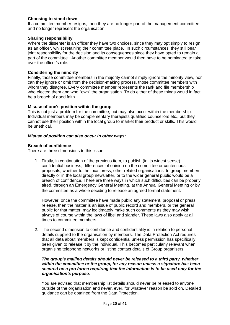# **Choosing to stand down**

 If a committee member resigns, then they are no longer part of the management committee and no longer represent the organisation.

## **Sharing responsibility**

 Where the dissenter is an officer they have two choices, since they may opt simply to resign as an officer, whilst retaining their committee place. In such circumstances, they still bear joint responsibility for the decision and its consequences since they have opted to remain a part of the committee. Another committee member would then have to be nominated to take over the officer's role.

# **Considering the minority**

 Finally, those committee members in the majority cannot simply ignore the minority view, nor can they ignore or omit from the decision-making process, those committee members with whom they disagree. Every committee member represents the rank and file membership who elected them and who "own" the organisation. To do either of these things would in fact be a breach of good faith.

## **Misuse of one's position within the group**

 This is not just a problem for the committee, but may also occur within the membership. Individual members may be complementary therapists qualified counsellors etc., but they cannot use their position within the local group to market their product or skills. This would be unethical.

## *Misuse of position can also occur in other ways:*

## **Breach of confidence**

There are three dimensions to this issue:

 1. Firstly, in continuation of the previous item, to publish (in its widest sense) confidential business, differences of opinion on the committee or contentious proposals, whether to the local press, other related organisations, to group members directly or in the local group newsletter, or to the wider general public would be a breach of confidence. There are three ways in which such difficulties can be properly aired, through an Emergency General Meeting, at the Annual General Meeting or by the committee as a whole deciding to release an agreed formal statement.

 However, once the committee have made public any statement, proposal or press release, then the matter is an issue of public record and members, or the general public for that matter, may legitimately make such comments as they may wish, always of course within the laws of libel and slander. These laws also apply at all times to committee members.

 2. The second dimension to confidence and confidentiality is in relation to personal details supplied to the organisation by members. The Data Protection Act requires that all data about members is kept confidential unless permission has specifically been given to release it by the individual. This becomes particularly relevant when organising telephone networks or listing contact details of Group organisers.

# *The group's mailing details should never be released to a third party, whether*  within the committee or the group, for any reason unless a signature has been  *secured on a pro forma requiring that the information is to be used only for the organisation's purpose.*

 You are advised that membership list details should never be released to anyone outside of the organisation and never, ever, for whatever reason be sold on. Detailed guidance can be obtained from the Data Protection.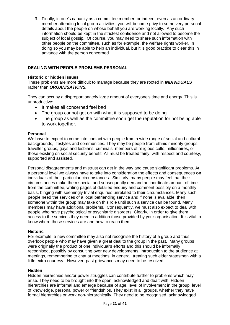3. Finally, in one's capacity as a committee member, or indeed, even as an ordinary member attending local group activities, you will become privy to some very personal details about the people on whose behalf you are working locally. Any such information should be kept in the strictest confidence and not allowed to become the subject of local gossip. Of course, you may need to share such information with other people on the committee, such as for example, the welfare rights worker. In doing so you may be able to help an individual, but it is good practice to clear this in advance with the person concerned.

# **DEALING WITH PEOPLE PROBLEMS PERSONAL**

# **Historic or hidden issues**

 These problems are more difficult to manage because they are rooted in *INDIVIDUALS*  rather than *ORGANISATIONS.* 

 They can occupy a disproportionately large amount of everyone's time and energy. This is unproductive:

- It makes all concerned feel bad
- The group cannot get on with what it is supposed to be doing
- The group as well as the committee soon get the reputation for not being able to work together.

## **Personal**

 We have to expect to come into contact with people from a wide range of social and cultural backgrounds, lifestyles and communities. They may be people from ethnic minority groups, traveller groups, gays and lesbians, criminals, members of religious cults, millionaires, or those existing on social security benefit. All must be treated fairly, with respect and courtesy, supported and assisted.

 Personal disagreements and mistrust can get in the way and cause significant problems. At a personal level we always have to take into consideration the effects and consequences **on**  individuals of their particular circumstances. Similarly, many people may feel that their circumstances make them special and subsequently demand an inordinate amount of time from the committee, writing pages of detailed enquiry and comment possibly on a monthly basis, binging with seemingly trivial enquiries unrelated to their circumstances. Many such people need the services of a local befriending service and if none is available, then someone within the group may take on this role until such a service can be found. Many members may have additional problems. Consequently, we must also expect to deal with people who have psychological or psychiatric disorders. Clearly, in order to give them access to the services they need in addition those provided by your organisation. It is vital to know where those services are and how to reach them.

# **Historic**

 For example, a new committee may also not recognise the history of a group and thus overlook people who may have given a great deal to the group in the past. Many groups were originally the product of one individual's efforts and this should be informally recognised, possibly by consulting over new developments, introduction to the audience at meetings, remembering to chat at meetings, in general, treating such elder statesmen with a little extra courtesy. However, past grievances may need to be resolved.

#### **Hidden**

 Hidden hierarchies and/or power struggles can contribute further to problems which may arise. They need to be brought into the open, acknowledged and dealt with. Hidden hierarchies are informal and emerge because of age, level of involvement in the group, level of knowledge, personal power or friendships. They exist in all groups, whether they have formal hierarchies or work non-hierarchically. They need to be recognised, acknowledged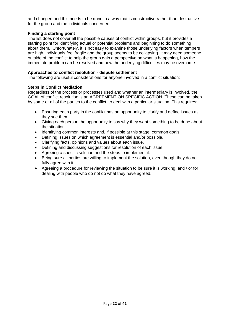and changed and this needs to be done in a way that is constructive rather than destructive for the group and the individuals concerned.

# **Finding a starting point**

 The list does not cover all the possible causes of conflict within groups, but it provides a starting point for identifying actual or potential problems and beginning to do something about them. Unfortunately, it is not easy to examine those underlying factors when tempers are high, individuals feel fragile and the group seems to be collapsing. It may need someone outside of the conflict to help the group gain a perspective on what is happening, how the immediate problem can be resolved and how the underlying difficulties may be overcome.

# **Approaches to conflict resolution - dispute settlement**

The following are useful considerations for anyone involved in a conflict situation:

# **Steps in Conflict Mediation**

 Regardless of the process or processes used and whether an intermediary is involved, the GOAL of conflict resolution is an AGREEMENT ON SPECIFIC ACTION. These can be taken by some or all of the parties to the conflict, to deal with a particular situation. This requires:

- $\bullet$  they see them. Ensuring each party in the conflict has an opportunity to clarify and define issues as
- $\bullet$  the situation. Giving each person the opportunity to say why they want something to be done about
- Identifying common interests and, if possible at this stage, common goals.
- $\bullet$ Defining issues on which agreement is essential and/or possible.
- Clarifying facts, opinions and values about each issue.
- $\bullet$ Defining and discussing suggestions for resolution of each issue.
- Agreeing a specific solution and the steps to implement it.
- $\bullet$  fully agree with it. Being sure all parties are willing to implement the solution, even though they do not
- Agreeing a procedure for reviewing the situation to be sure it is working, and / or for dealing with people who do not do what they have agreed.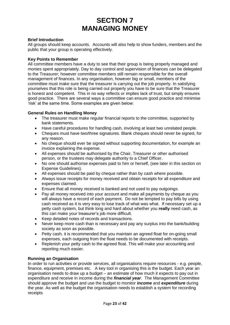# **SECTION 7 MANAGING MONEY**

# **Brief Introduction**

 All groups should keep accounts. Accounts will also help to show funders, members and the public that your group is operating effectively.

# **Key Points to Remember**

 All committee members have a duty to see that their group is being properly managed and monies spent appropriately. Day to day control and supervision of finances can be delegated to the Treasurer; however committee members still remain responsible for the overall management of finances. In any organisation, however big or small, members of the committee must make sure that the treasurer is carrying out the job properly. In satisfying yourselves that this role is being carried out properly you have to be sure that the Treasurer is honest and competent. This in no way reflects or implies lack of trust, but simply ensures good practice. There are several ways a committee can ensure good practice and minimise 'risk' at the same time. Some examples are given below:

# **General Rules on Handling Money**

- $\bullet$  The treasurer must make regular financial reports to the committee, supported by bank statements.
- Have careful procedures for handling cash, involving at least two unrelated people.
- Cheques must have two/three signatures. Blank cheques should never be signed, for any reason.
- No cheque should ever be signed without supporting documentation, for example an invoice explaining the expense.
- $\bullet$  person, or the trustees may delegate authority to a Chief Officer. All expenses should be authorised by the Chair, Treasurer or other authorised
- No one should authorise expenses paid to him or herself, (see later in this section on Expense Guidelines).
- $\bullet$ All expenses should be paid by cheque rather than by cash where possible.
- Always issue receipts for money received and obtain receipts for all expenditure and expenses claimed.
- Ensure that all money received is banked and not used to pay outgoings.
- will always have a record of each payment. Do not be tempted to pay bills by using cash received as it is very easy to lose track of what was what. If necessary set up a petty cash system, but think long and hard about whether you **really** need cash, as this can make your treasurer's job more difficult. Pay all money received into your account and make all payments by cheque as you
- Keep detailed notes of records and transactions.
- Never keep more cash than is necessary and pay any surplus into the bank/building society as soon as possible.
- $\bullet$  expenses, each outgoing from the float needs to be documented with receipts. Petty cash, it is recommended that you maintain an agreed float for on-going small
- Replenish your petty cash to the agreed float. This will make your accounting and reporting much easier.

#### **Running an Organisation**

 In order to run activities or provide services, all organisations require resources - e.g. people, finance, equipment, premises etc. A key tool in organising this is the budget. Each year an organisation needs to draw up a budget – an estimate of how much it expects to pay out in expenditure and receive in income during the *financial year*. The Management Committee should approve the budget and use the budget to monitor *income* and *expenditure* during the year. As well as the budget the organisation needs to establish a system for recording receipts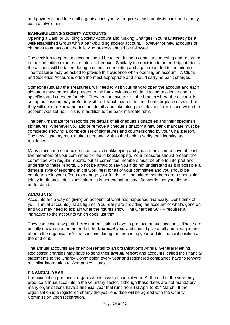and payments and for small organisations you will require a cash analysis book and a petty cash analysis book.

# **BANK/BUILDING SOCIETY ACCOUNTS**

 Opening a Bank or Building Society Account and Making Changes. You may already be a well-established Group with a bank/building society account. However for new accounts or changes to an account the following process should be followed.

 The decision to open an account should be taken during a committee meeting and recorded in the committee minutes for future reference. Similarly the decision to amend signatories to the account will be taken during a committee meeting and again recorded in the minutes. The treasurer may be asked to provide this evidence when opening an account. A Clubs and Societies Account is often the most appropriate and should carry no bank charges.

 Someone (usually the Treasurer), will need to visit your bank to open the account and each signatory must personally present to the bank evidence of identity and residence and a specific form is needed for this. They do not have to visit the branch where the account is set up but instead may prefer to visit the branch nearest to their home or place of work but they will need to know the account details and take along the relevant form issued when the account was set up. This is in addition to the bank mandate form.

 The bank mandate form records the details of all cheques signatories and their specimen signatures. Whenever you add or remove a cheque signatory a new bank mandate must be completed showing a complete set of signatures and countersigned by your Chairperson. The new signatory must make a personal visit to the bank to verify their identity and residence.

 Many places run short courses on basic bookkeeping and you are advised to have at least two members of your committee skilled in bookkeeping. Your treasurer should present the committee with regular reports, but all committee members must be able to interpret and understand these reports. Do not be afraid to say you if do not understand as it is possible a different style of reporting might work best for all of your committee and you should be comfortable in your efforts to manage your funds. All committee members are responsible jointly for financial decisions taken. It is not enough to say afterwards that you did not understand.

# **ACCOUNTS**

 Accounts are a way of 'giving an account' of what has happened financially. Don't think of your annual accounts just as figures. You really are providing 'an account' of what's gone on and you may need to explain what the figures show. The Charities SORP requires a 'narrative' to the accounts which does just that.

 They can cover any period. Most organisations have to produce annual accounts. These are usually drawn up after the end of the *financial year* and should give a full and clear picture of both the organisation's transactions during the preceding year and its financial position at the end of it.

 The annual accounts are often presented to an organisation's Annual General Meeting. Registered charities may have to send their *annual report* and accounts, called the financial statements to the Charity Commission every year and registered companies have to forward a similar information to Companies House.

# **FINANCIAL YEAR**

 For accounting purposes, organisations have a financial year. At the end of the year they produce annual accounts in the voluntary sector, although these dates are not mandatory, many organisations have a financial year that runs from 1st April to  $31<sup>st</sup>$  March. If the organisation is a registered charity the year end date will be agreed with the Charity Commission upon registration.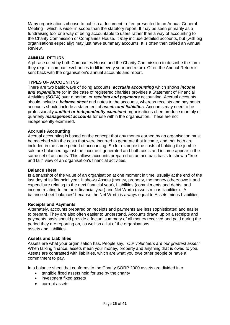Many organisations choose to publish a document - often presented to an Annual General Meeting - which is wider in scope than the statutory report. It may be seen primarily as a fundraising tool or a way of being accountable to users rather than a way of accounting to the Charity Commission or Companies House. It *may* include detailed accounts, but (with big organisations especially) may just have summary accounts. It is often then called an Annual Review.

# **ANNUAL RETURN**

 A phrase used by both Companies House and the Charity Commission to describe the form they require companies/charities to fill in every year and return. Often the Annual Return is sent back with the organisation's annual accounts and report.

# **TYPES OF ACCOUNTING**

 There are two basic ways of doing accounts: *accruals accounting* which shows *income*  and expenditure (or in the case of registered charities provides a Statement of Financial Activities *(SOFA)* over a period, or *receipts and payments* accounting. Accrual accounts should include a *balance sheet* and notes to the accounts, whereas receipts and payments accounts should include a statement of *assets and liabilities*. Accounts may need to be  professionally *audited or independently examined* organisations often produce monthly or quarterly *management accounts* for use within the organisation. These are not independently examined.

# **Accruals Accounting**

 Accrual accounting is based on the concept that any money earned by an organisation must be matched with the costs that were incurred to generate that income, and that both are included in the same period of accounting. So for example the costs of holding the jumble sale are balanced against the income it generated and both costs and income appear in the same set of accounts. This allows accounts prepared on an accruals basis to show a "true and fair" view of an organisation's financial activities.

#### **Balance sheet**

 Is a snapshot of the value of an organisation at one moment in time, usually at the end of the last day of its financial year. It shows Assets (money, property, the money others owe it and expenditure relating to the next financial year), Liabilities (commitments and debts, and income relating to the next financial year) and Net Worth (assets minus liabilities). A balance sheet 'balances' because the Net Worth is always equal to Assets minus Liabilities.

#### **Receipts and Payments**

 Alternately, accounts prepared on receipts and payments are less sophisticated and easier to prepare. They are also often easier to understand. Accounts drawn up on a receipts and payments basis should provide a factual summary of all money received and paid during the period they are reporting on, as well as a list of the organisations assets and liabilities.

# **Assets and Liabilities**

 Assets are what your organisation has. People say, *"Our volunteers are our greatest asset."*  When talking finance, assets mean your money, property and anything that is owed to you. Assets are contrasted with liabilities, which are what you owe other people or have a commitment to pay.

In a balance sheet that conforms to the Charity SORP 2000 assets are divided into

- tangible fixed assets held for use by the charity
- investment fixed assets
- current assets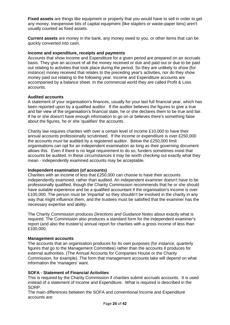**Fixed assets** are things like equipment or property that you would have to sell in order to get any money. Inexpensive bits of capital equipment (like staplers or waste-paper bins) aren't usually counted as fixed assets.

 **Current assets** are money in the bank, any money owed to you, or other items that can be quickly converted into cash.

# **Income and expenditure, receipts and payments**

 Accounts that show Income and Expenditure for a given period are prepared on an accruals basis. They give an account of all the money received or due and paid out or due to be paid out relating to activities that took place during the period. So they are unlikely to show (for instance) money received that relates to the preceding year's activities, nor do they show money paid out relating to the following year. Income and Expenditure accounts are accompanied by a balance sheet. In the commercial world they are called Profit & Loss accounts.

## **Audited accounts**

 A statement of your organisation's finances, usually for your last full financial year, which has been reported upon by a qualified auditor. If the auditor believes the figures to give a true and fair view of the organisation's financial state, he or she declares them to be true and fair. If he or she doesn't have enough information to go on or believes there's something false about the figures, he or she 'qualifies' the accounts.

 Charity law requires charities with over a certain level of income £10,000 to have their annual accounts professionally scrutinised. If the income or expenditure is over £250,000 the accounts *must* be audited by a registered auditor. Below the £250,000 limit organisations can opt for an independent examination as long as their governing document allows this. Even if there is no legal requirement to do so, funders sometimes insist that accounts be audited. In these circumstances it may be worth checking out exactly what they mean - independently examined accounts may be acceptable.

#### **Independent examination (of accounts)**

 Charities with an income of less that £250,000 can choose to have their accounts independently examined, rather than audited. An independent examiner doesn't have to be professionally qualified, though the Charity Commission recommends that he or she should have suitable experience and be a qualified accountant if the organisation's income is over £100,000. The person must be 'impartial' so they shouldn't be involved in the charity in any way that might influence them, and the trustees must be satisfied that the examiner has the necessary expertise and ability.

 The Charity Commission produces *Directions and Guidance Notes* about exactly what is required. The Commission also produces a standard form for the independent examiner's report (and also the trustee's) annual report for charities with a gross income of less than £100,000.

#### **Management accounts**

 The accounts that an organisation produces for its own purposes (for instance, quarterly figures that go to the Management Committee) rather than the accounts it produces for external authorities. (The Annual Accounts for Companies House or the Charity Commission, for example). The form that management accounts take will depend on what information the 'managers' want.

# **SOFA - Statement of Financial Activities**

 This is required by the Charity Commission if charities submit accruals accounts. It is used instead of a statement of Income and Expenditure. What is required is described in the SORP.

 The main differences between the SOFA and conventional Income and Expenditure accounts are: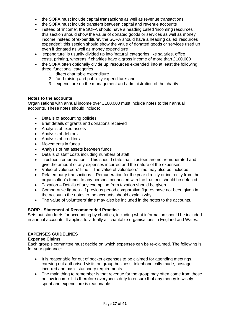- the SOFA must include capital transactions as well as revenue transactions
- the SOFA must include transfers between capital and revenue accounts
- instead of 'income', the SOFA should have a heading called 'incoming resources'; this section should show the value of donated goods or services as well as money income instead of 'expenditure', the SOFA should have a heading called 'resources expended'; this section should show the value of donated goods or services used up even if donated as well as money expenditure
- 'expenditure' is usually divided up into 'natural' categories like salaries, office costs, printing, whereas if charities have a gross income of more than £100,000
- $\bullet$  three 'functional' categories the SOFA often optionally divide up 'resources expended' into at least the following
	- 1. direct charitable expenditure
	- 2. fund-raising and publicity expenditure: and
	- 3. expenditure on the management and administration of the charity

# **Notes to the accounts**

 Organisations with annual income over £100,000 must include notes to their annual accounts. These notes should include:

- Details of accounting policies
- $\bullet$ Brief details of grants and donations received
- Analysis of fixed assets
- Analysis of debtors
- Analysis of creditors
- Movements in funds
- Analysis of net assets between funds
- Details of staff costs including numbers of staff
- Trustees' remuneration This should state that Trustees are not remunerated and give the amount of any expenses incurred and the nature of the expenses.
- Value of volunteers' time The value of volunteers' time may also be included
- Related party transactions Remuneration for the year directly or indirectly from the organisation's funds to any persons connected with the trustees should be detailed.
- Taxation Details of any exemption from taxation should be given.
- Comparative figures If previous period comparative figures have not been given in the accounts the notes to the accounts should explain why.
- The value of volunteers' time may also be included in the notes to the accounts.

# **SORP - Statement of Recommended Practice**

 Sets out standards for accounting by charities, including what information should be included in annual accounts. It applies to virtually all charitable organisations in England and Wales.

# **EXPENSES GUIDELINES**

# **Expense Claims**

 Each group's committee must decide on which expenses can be re-claimed. The following is for your guidance:

- $\bullet$  carrying out authorised visits on group business, telephone calls made, postage incurred and basic stationery requirements. It is reasonable for out of pocket expenses to be claimed for attending meetings,
- on low income. It is therefore everyone's duty to ensure that any money is wisely The main thing to remember is that revenue for the group may often come from those spent and expenditure is reasonable.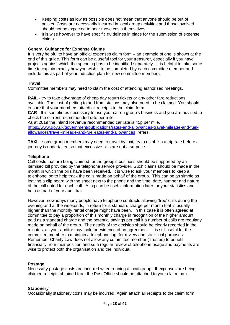- $\bullet$  pocket. Costs are necessarily incurred in local group activities and those involved should not be expected to bear those costs themselves. Keeping costs as low as possible does not mean that anyone should be out of
- $\bullet$  It is wise however to have specific guidelines in place for the submission of expense claims.

# **General Guidance for Expense Claims**

 It is very helpful to have an official expenses claim form – an example of one is shown at the end of this guide. This form can be a useful tool for your treasurer, especially if you have projects against which the spending has to be identified separately. It is helpful to take some time to explain exactly how you wish it to be completed by each committee member and include this as part of your induction plan for new committee members.

# **Travel**

Committee members may need to claim the cost of attending authorised meetings.

 **RAIL** - try to take advantage of cheap day return tickets or any other fare reductions available. The cost of getting to and from stations may also need to be claimed. You should ensure that your members attach all receipts to the claim form.

 **CAR** - It is sometimes necessary to use your car on group's business and you are advised to check the current recommended rate per mile.

 As at 2019 the Inland Revenue recommended car rate is 45p per mile, [allowances/travel-mileage-and-fuel-rates-and-allowances](https://www.gov.uk/government/publications/rates-and-allowances-travel-mileage-and-fuel-allowances/travel-mileage-and-fuel-rates-and-allowances) refers. [https://www.gov.uk/government/publications/rates-and-allowances-travel-mileage-and-fuel-](https://www.gov.uk/government/publications/rates-and-allowances-travel-mileage-and-fuel-allowances/travel-mileage-and-fuel-rates-and-allowances)

 **TAXI** – some group members may need to travel by taxi, try to establish a trip rate before a journey is undertaken so that excessive bills are not a surprise.

## **Telephone**

 Call costs that are being claimed for the group's business should be supported by an itemised bill provided by the telephone service provider. Such claims should be made in the month in which the bills have been received. It is wise to ask your members to keep a telephone log to help track the calls made on behalf of the group. This can be as simple as leaving a clip board with the sheet next to the phone and the time, date, number and nature of the call noted for each call. A log can be useful information later for your statistics and help as part of your audit trail.

 However, nowadays many people have telephone contracts allowing 'free' calls during the evening and at the weekends, in return for a standard charge per month that is usually higher than the monthly rental charge might have been. In this case it is often agreed at committee to pay a proportion of this monthly charge in recognition of the higher amount paid as a standard charge and the potential savings per call if a number of calls are regularly made on behalf of the group. The details of the decision should be clearly recorded in the minutes, as your auditor may look for evidence of an agreement. It is still useful for the committee member to maintain a telephone log, for review and statistical purposes. Remember Charity Law does not allow any committee member (Trustee) to benefit financially from their position and so a regular review of telephone usage and payments are wise to protect both the organisation and the individual.

# **Postage**

 Necessary postage costs are incurred when running a local group. If expenses are being claimed receipts obtained from the Post Office should be attached to your claim form.

#### **Stationery**

Occasionally stationery costs may be incurred. Again attach all receipts to the claim form.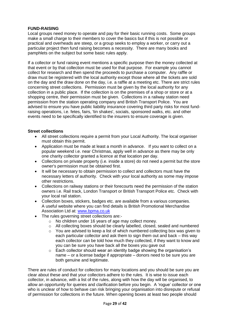# **FUND-RAISING**

 Local groups need money to operate and pay for their basic running costs. Some groups make a small charge to their members to cover the basics but if this is not possible or practical and overheads are steep, or a group seeks to employ a worker, or carry out a particular project then fund raising becomes a necessity. There are many books and pamphlets on the subject but some basic rules apply.

 If a collector or fund raising event mentions a specific purpose then the money collected at that event or by that collection must be used for that purpose. For example you cannot collect for research and then spend the proceeds to purchase a computer. Any raffle or draw must be registered with the local authority except those where all the tickets are sold on the day and the draw done on the day, i.e. a raffle at a meeting etc. There are strict rules concerning street collections. Permission must be given by the local authority for any collection in a public place. If the collection is on the premises of a shop or store or at a shopping centre, their permission must be given. Collections in a railway station need permission from the station operating company and British Transport Police. You are advised to ensure you have public liability insurance covering third party risks for most fund- raising operations, i.e. fetes, fairs, 'tin shakes', socials, sponsored walks, etc. and other events need to be specifically identified to the insurers to ensure coverage is given.

# **Street collections**

- All street collections require a permit from your Local Authority. The local organiser must obtain this permit.
- Application must be made at least a month in advance. If you want to collect on a popular weekend i.e. near Christmas, apply well in advance as there may be only one charity collector granted a licence at that location per day.
- Collections on private property (i.e. inside a store) do not need a permit but the store owner's permission must be obtained first.
- $\bullet$  necessary letters of authority. Check with your local authority as some may impose It will be necessary to obtain permission to collect and collectors must have the other restrictions.
- Collections on railway stations or their forecourts need the permission of the station owners i.e. Rail track, London Transport or British Transport Police etc. Check with your local rail station.
- Collection boxes, stickers, badges etc. are available from a various companies. A useful website where you can find details is British Promotional Merchandise Association Ltd at: www.bpma.co.uk
- The rules governing street collections are:-
	- o No children under 16 years of age may collect money.
	- o All collecting boxes should be clearly labelled, closed, sealed and numbered
	- $\circ$  You are advised to keep a list of which numbered collecting box was given to each particular collector and ask them to sign them out and back – this way each collector can be told how much they collected, if they want to know and you can be sure you have back all the boxes you gave out
	- $\circ$  Each collector should wear an identity badge showing the organisation's name – or a license badge if appropriate – donors need to be sure you are both genuine and legitimate.

 There are rules of conduct for collectors for many locations and you should be sure you are clear about these and that your collectors adhere to the rules. It is wise to issue each collector, in advance, with a list of the rules, along with how the day will be organised, to allow an opportunity for queries and clarification before you begin. A 'rogue' collector or one who is unclear of how to behave can risk bringing your organisation into disrepute or refusal of permission for collections in the future. When opening boxes at least two people should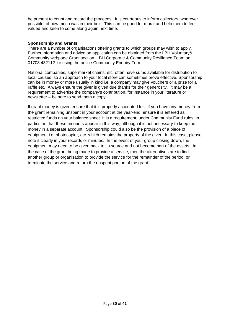be present to count and record the proceeds. It is courteous to inform collectors, wherever possible, of how much was in their box. This can be good for moral and help them to feel valued and keen to come along again next time.

# **Sponsorship and Grants**

 There are a number of organisations offering grants to which groups may wish to apply. Further information and advice on application can be obtained from the LBH Voluntary& Community webpage Grant section, LBH Corporate & Community Resilience Team on 01708 432112 or using the online Community Enquiry Form.

 National companies, supermarket chains, etc. often have sums available for distribution to local causes, so an approach to your local store can sometimes prove effective. Sponsorship can be in money or more usually in kind i.e. a company may give vouchers or a prize for a raffle etc. Always ensure the giver is given due thanks for their generosity. It may be a requirement to advertise the company's contribution, for instance in your literature or newsletter – be sure to send them a copy.

 If grant money is given ensure that it is properly accounted for. If you have any money from the grant remaining unspent in your account at the year-end, ensure it is entered as restricted funds on your balance sheet. It is a requirement, under Community Fund rules, in particular, that these amounts appear in this way, although it is not necessary to keep the money in a separate account. Sponsorship could also be the provision of a piece of equipment i.e. photocopier, etc. which remains the property of the giver. In this case, please note it clearly in your records or minutes. In the event of your group closing down, the equipment may need to be given back to its source and not become part of the assets. In the case of the grant being made to provide a service, then the alternatives are to find another group or organisation to provide the service for the remainder of the period, or terminate the service and return the unspent portion of the grant.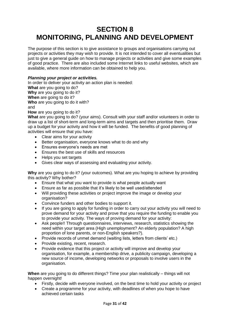# **SECTION 8 MONITORING, PLANNING AND DEVELOPMENT**

 The purpose of this section is to give assistance to groups and organisations carrying out projects or activities they may wish to provide. It is not intended to cover all eventualities but just to give a general guide on how to manage projects or activities and give some examples of good practice. There are also included some Internet links to useful websites, which are available, where more information can be obtained to help you.

# *Planning your project or activities.*

 In order to deliver your activity an action plan is needed: **What** are you going to do? **Why** are you going to do it? **When** are going to do it? **Who** are you going to do it with? **How** are you going to do it? and

 **What** are you going to do? (your aims). Consult with your staff and/or volunteers in order to draw up a list of short-term and long-term aims and targets and then prioritise them. Draw up a budget for your activity and how it will be funded. The benefits of good planning of activities will ensure that you have:

- Clear aims for your activity
- Better organisation, everyone knows what to do and why
- Ensures everyone's needs are met
- Ensures the best use of skills and resources
- Helps you set targets
- Gives clear ways of assessing and evaluating your activity.

 **Why** are you going to do it? (your outcomes). What are you hoping to achieve by providing this activity? Why bother?

- Ensure that what you want to provide is what people actually want
- Ensure as far as possible that it's likely to be well used/attended
- Will providing these activities or project improve the image or develop your organisation?
- Convince funders and other bodies to support it.
- If you are going to apply for funding in order to carry out your activity you will need to prove demand for your activity and prove that you require the funding to enable you to provide your activity. The ways of proving demand for your activity:
- Ask people!! Through questionnaires, interviews, research, statistics showing the need within your target area (High unemployment? An elderly population? A high proportion of lone parents, or non-English speakers?).
- Provide records of unmet demand (waiting lists, letters from clients' etc.)
- Provide existing, recent, research.
- $\bullet$  organisation, for example, a membership drive, a publicity campaign, developing a new source of income, developing networks or proposals to involve users in the Provide evidence that this project or activity will improve and develop your organisation.

 **When** are you going to do different things? Time your plan realistically – things will not happen overnight!

- $\bullet$ Firstly, decide with everyone involved, on the best time to hold your activity or project
- Create a programme for your activity, with deadlines of when you hope to have achieved certain tasks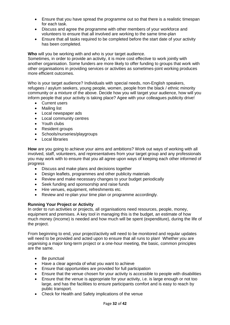- Ensure that you have spread the programme out so that there is a realistic timespan for each task.
- Discuss and agree the programme with other members of your workforce and volunteers to ensure that all involved are working to the same time-plan
- Ensure that all tasks required to be completed before the start date of your activity has been completed.

**Who** will you be working with and who is your target audience.

 Sometimes, in order to provide an activity, it is more cost effective to work jointly with another organisation. Some funders are more likely to offer funding to groups that work with other organisations in providing services or activities as sometimes-joint working produces more efficient outcomes.

 Who is your target audience? Individuals with special needs, non-English speakers, refugees / asylum seekers, young people, women, people from the black / ethnic minority community or a mixture of the above. Decide how you will target your audience, how will you inform people that your activity is taking place? Agee with your colleagues publicity drive!

- Current users
- $\bullet$ Mailing list
- Local newspaper ads
- Local community centres
- Youth clubs
- Resident groups
- Schools/nurseries/playgroups
- Local libraries

 **How** are you going to achieve your aims and ambitions? Work out ways of working with all involved, staff, volunteers, and representatives from your target group and any professionals you may work with to ensure that you all agree upon ways of keeping each other informed of progress

- Discuss and make plans and decisions together
- Design leaflets, programmes and other publicity materials
- Review and make necessary changes to your budget periodically
- Seek funding and sponsorship and raise funds
- Hire venues, equipment, refreshments etc.
- Review and re-plan your time plan or programme accordingly.

# **Running Your Project or Activity**

 In order to run activities or projects, all organisations need resources, people, money, equipment and premises. A key tool in managing this is the budget, an estimate of how much money (income) is needed and how much will be spent (expenditure), during the life of the project.

 From beginning to end, your project/activity will need to be monitored and regular updates will need to be provided and acted upon to ensure that all runs to plan! Whether you are organising a major long-term project or a one-hour meeting, the basic, common principles are the same.

- Be punctual
- Have a clear agenda of what you want to achieve
- Ensure that opportunities are provided for full participation
- Ensure that the venue chosen for your activity is accessible to people with disabilities
- Ensure that the venue is appropriate for your activity, i.e. is large enough or not too large, and has the facilities to ensure participants comfort and is easy to reach by public transport.
- Check for Health and Safety implications of the venue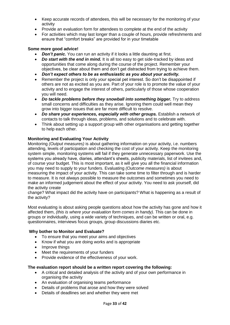- Keep accurate records of attendees, this will be necessary for the monitoring of your activity
- Provide an evaluation form for attendees to complete at the end of the activity
- For activities which may last longer than a couple of hours, provide refreshments and ensure that "comfort breaks" are provided for in your timetable

# **Some more good advice!**

- *Don't panic.* You can run an activity if it looks a little daunting at first.
- Do start with the end in mind. It is all too easy to get side-tracked by ideas and opportunities that come along during the course of the project. Remember your objectives, be clear about them and don't get distracted from trying to achieve them.
- *Don't expect others to be as enthusiastic as you about your activity.*
- Remember the project is only *your* special pet interest. So don't be disappointed if others are not as excited as you are. Part of your role is to promote the value of your activity and to engage the interest of others, particularly of those whose cooperation you will need.
- Do tackle problems before they snowball into something bigger. Try to address small concerns and difficulties as they arise. Ignoring them could well mean they grow into bigger issues that are far more difficult to resolve.
- contacts to talk through ideas, problems, and solutions and to celebrate with. • Do share your experiences, especially with other groups. Establish a network of
- $\bullet$  to help each other. Think about setting up a support group with other organisations and getting together

# **Monitoring and Evaluating Your Activity**

 Monitoring *(Output measures)* is about gathering information on your activity, i.e. numbers attending, levels of participation and checking the cost of your activity. Keep the monitoring system simple, monitoring systems will fail if they generate unnecessary paperwork. Use the systems you already have, diaries, attendant's sheets, publicity materials, list of invitees and, of course your budget. This is most important, as it will give you all the financial information you may need to supply to your funders. Evaluating *(Outcome measures)* is about measuring the impact of your activity. This can take some time to filter through and is harder to measure. It is not always possible to measure the outcomes and sometimes you need to make an informed judgement about the effect of your activity. You need to ask yourself, did the activity create

 change? What impact did the activity have on participants? What is happening as a result of the activity?

 Most evaluating is about asking people questions about how the activity has gone and how it affected them, *(this is where your evaluation form comes in handy).* This can be done in groups or individually, using a wide variety of techniques, and can be written or oral, e.g. questionnaires, interviews focus groups, group discussions diaries etc.

# **Why bother to Monitor and Evaluate?**

- To ensure that you meet your aims and objectives
- Know if what you are doing works and is appropriate
- Improve things
- Meet the requirements of your funders
- Provide evidence of the effectiveness of your work.

# **The evaluation report should be a written report covering the following:**

- A critical and detailed analysis of the activity and of your own performance in organising the activity
- An evaluation of organising teams performance
- Details of problems that arose and how they were solved
- Details of deadlines set and whether they were met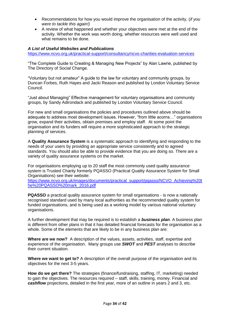- Recommendations for how you would improve the organisation of the activity, (*if you were to tackle this again!)*
- A review of what happened and whether your objectives were met at the end of the activity. Whether the work was worth doing, whether resources were well used and what remains to be done.

# *A List of Useful Websites and Publications*

<https://www.ncvo.org.uk/practical-support/consultancy/ncvo-charities-evaluation-services>

 "The Complete Guide to Creating & Managing New Projects" by Alan Lawrie, published by The Directory of Social Change.

 "Voluntary but not amateur" A guide to the law for voluntary and community groups, by Duncan Forbes, Ruth Hayes and Jacki Reason and published by London Voluntary Service Council.

 "Just about Managing" Effective management for voluntary organisations and community groups, by Sandy Adirondack and published by London Voluntary Service Council.

 For new and small organisations the policies and procedures outlined above should be adequate to address most development issues. However, "from little acorns…" organisations grow, expand their activities, obtain premises and employ staff. At some point the organisation and its funders will require a more sophisticated approach to the strategic planning of services.

 A **Quality Assurance System** is a systematic approach to identifying and responding to the needs of your users by providing an appropriate service consistently and to agreed standards. You should also be able to provide evidence that you are doing so. There are a variety of quality assurance systems on the market.

 For organisations employing up to 20 staff the most commonly used quality assurance system is Trusted Charity formerly PQASSO (Practical Quality Assurance System for Small Organisations) see their website:

[https://www.ncvo.org.uk/images/documents/practical\\_support/pqasso/NCVO\\_Achieving%20t](https://www.ncvo.org.uk/images/documents/practical_support/pqasso/NCVO_Achieving%20the%20PQASSO%20mark_2016.pdf)  [he%20PQASSO%20mark\\_2016.pdf](https://www.ncvo.org.uk/images/documents/practical_support/pqasso/NCVO_Achieving%20the%20PQASSO%20mark_2016.pdf) 

 **PQASSO** a practical quality assurance system for small organisations - is now a nationally recognised standard used by many local authorities as the recommended quality system for funded organisations, and is being used as a working model by various national voluntary organisations.

 A further development that may be required is to establish a *business plan*. A business plan is different from other plans in that it has detailed financial forecasts for the organisation as a whole. Some of the elements that are likely to be in any business plan are:

Where are we now? A description of the values, assets, activities, staff, expertise and experience of the organisation. Many groups use *SWOT* and *PEST* analyses to describe their current situation.

Where we want to get to? A description of the overall purpose of the organisation and its objectives for the next 3-5 years.

 **How do we get there?** The strategies (finance/fundraising, staffing, IT, marketing) needed to gain the objectives. The resources required – staff, skills, training, money. Financial and *cashflow* projections, detailed in the first year, more of an outline in years 2 and 3, etc.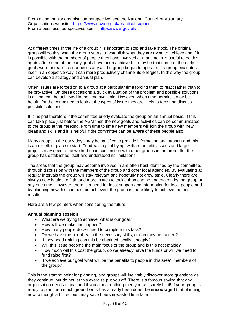From a community organisation perspective, see the National Council of Voluntary From a business perspectives see - https://www.gov.uk/ Organisations website: <https://www.ncvo.org.uk/practical-support>

 At different times in the life of a group it is important to stop and take stock. The original group will do this when the group starts, to establish what they are trying to achieve and if it is possible with the numbers of people they have involved at that time. It is useful to do this again after some of the early goals have been achieved. It may be that some of the early goals were unrealistic or unnecessary as the group began to operate. If a group evaluates itself in an objective way it can more productively channel its energies. In this way the group can develop a strategy and annual plan.

 Often issues are forced on to a group at a particular time forcing them to react rather than to be pro-active. On these occasions a quick evaluation of the problem and possible solutions is all that can be achieved in the time available. However, when time permits it may be helpful for the committee to look at the types of issue they are likely to face and discuss possible solutions.

 It is helpful therefore if the committee briefly evaluate the group on an annual basis. If this can take place just before the AGM then the new goals and activities can be communicated to the group at the meeting. From time to time new members will join the group with new ideas and skills and it is helpful if the committee can be aware of these people also.

 Many groups in the early days may be satisfied to provide information and support and this is an excellent place to start. Fund-raising, lobbying, welfare benefits issues and larger projects may need to be worked on in conjunction with other groups in the area after the group has established itself and understood its limitations.

 The areas that the group may become involved in are often best identified by the committee, through discussion with the members of the group and other local agencies. By evaluating at regular intervals the group will stay relevant and hopefully not grow stale. Clearly there are always new battles to fight and more issues to tackle than can be undertaken by the group at any one time. However, there is a need for local support and information for local people and by planning how this can best be achieved; the group is more likely to achieve the best results.

Here are a few pointers when considering the future:

# **Annual planning session**

- What are we trying to achieve, what is our goal?
- How will we make this happen?
- How many people do we need to complete this task?
- Do we have the people with the necessary skills, or can they be trained?
- If they need training can this be obtained locally, cheaply?
- Will this issue become the main focus of the group and is this acceptable?
- How much will this cost the group, do we already have the funds or will we need to fund raise first?
- $\bullet$  the group? If we achieve our goal what will be the benefits to people in this area? members of

 This is the starting point for planning, and groups will inevitably discover more questions as they continue, but do not let this exercise put you off. There is a famous saying that any organisation needs a goal and if you aim at nothing then you will surely hit it! If your group is ready to plan then much ground work has already been done, **be encouraged** that planning now, although a bit tedious, may save hours in wasted time later.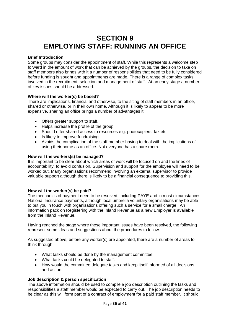# **SECTION 9 EMPLOYING STAFF: RUNNING AN OFFICE**

# **Brief Introduction**

 Some groups may consider the appointment of staff. While this represents a welcome step forward in the amount of work that can be achieved by the groups, the decision to take on staff members also brings with it a number of responsibilities that need to be fully considered before funding is sought and appointments are made. There is a range of complex tasks involved in the recruitment, selection and management of staff. At an early stage a number of key issues should be addressed.

# **Where will the worker(s) be based?**

 There are implications, financial and otherwise, to the siting of staff members in an office, shared or otherwise, or in their own home. Although it is likely to appear to be more expensive, sharing an office brings a number of advantages it:

- Offers greater support to staff.
- Helps increase the profile of the group.
- Should offer shared access to resources e.g. photocopiers, fax etc.
- Is likely to improve fundraising.
- Avoids the complication of the staff member having to deal with the implications of using their home as an office. Not everyone has a spare room.

## **How will the workers(s) be managed?**

 It is important to be clear about which areas of work will be focused on and the lines of accountability, to avoid confusion. Supervision and support for the employee will need to be worked out. Many organisations recommend involving an external supervisor to provide valuable support although there is likely to be a financial consequence to providing this.

# **How will the worker(s) be paid?**

 The mechanics of payment need to be resolved, including PAYE and in most circumstances National Insurance payments, although local umbrella voluntary organisations may be able to put you in touch with organisations offering such a service for a small charge. An information pack on Registering with the Inland Revenue as a new Employer is available from the Inland Revenue.

 Having reached the stage where these important issues have been resolved, the following represent some ideas and suggestions about the procedures to follow.

 As suggested above, before any worker(s) are appointed, there are a number of areas to think through:

- What tasks should be done by the management committee.
- What tasks could be delegated to staff.
- How would the committee delegate tasks and keep itself informed of all decisions and action.

#### **Job description & person specification**

 The above information should be used to compile a job description outlining the tasks and responsibilities a staff member would be expected to carry out. The job description needs to be clear as this will form part of a contract of employment for a paid staff member. It should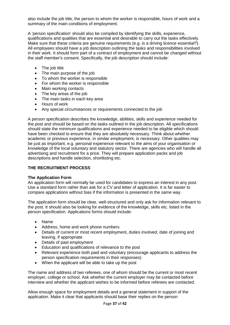also include the job title, the person to whom the worker is responsible, hours of work and a summary of the main conditions of employment.

 A 'person specification' should also be compiled by identifying the skills, experience, qualifications and qualities that are essential and desirable to carry out the tasks effectively. Make sure that these criteria are genuine requirements (e.g. is a driving licence essential?). All employees should have a job description outlining the tasks and responsibilities involved in their work. It should form part of a contract of employment and cannot be changed without the staff member's consent. Specifically, the job description should include:

- The job title
- The main purpose of the job
- To whom the worker is responsible
- For whom the worker is responsible
- Main working contacts
- The key areas of the job
- The main tasks in each key area
- $\bullet$ Hours of work
- $\bullet$ Any special circumstances or requirements connected to the job

 A person specification describes the knowledge, abilities, skills and experience needed for the post and should be based on the tasks outlined in the job description. All specifications should state the minimum qualifications and experience needed to be eligible which should have been checked to ensure that they are absolutely necessary. Think about whether academic or previous experience, in similar employment, is necessary. Other qualities may be just as important, e.g. personal experience relevant to the aims of your organisation or knowledge of the local voluntary and statutory sector. There are agencies who will handle all advertising and recruitment for a price. They will prepare application packs and job descriptions and handle selection, shortlisting etc.

# **THE RECRUITMENT PROCESS**

# **The Application Form**

 An application form will normally be used for candidates to express an interest in any post. Use a standard form rather than ask for a CV and letter of application. It is far easier to compare applications without bias if the information is presented in the same way.

 The application form should be clear, well-structured and only ask for information relevant to the post. It should also be looking for evidence of the knowledge, skills etc. listed in the person specification. Applications forms should include:

- Name
- $\bullet$ Address, home and work phone numbers
- Details of current or most recent employment, duties involved, date of joining and leaving, if appropriate
- Details of past employment
- Education and qualifications of relevance to the post
- $\bullet$  person specification requirements in their responses) Relevant experience both paid and voluntary (encourage applicants to address the
- When the applicant will be able to take up the post

 The name and address of two referees, one of whom should be the current or most recent employer, college or school. Ask whether the current employer may be contacted before interview and whether the applicant wishes to be informed before referees are contacted.

 Allow enough space for employment details and a general statement in support of the application. Make it clear that applicants should base their replies on the person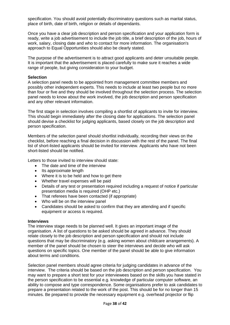specification. You should avoid potentially discriminatory questions such as marital status, place of birth, date of birth, religion or details of dependants.

 Once you have a clear job description and person specification and your application form is ready, write a job advertisement to include the job title, a brief description of the job, hours of work, salary, closing date and who to contact for more information. The organisation's approach to Equal Opportunities should also be clearly stated.

 The purpose of the advertisement is to attract good applicants and deter unsuitable people. It is important that the advertisement is placed carefully to make sure it reaches a wide range of people, but giving consideration to your budget.

# **Selection**

 A selection panel needs to be appointed from management committee members and possibly other independent experts. This needs to include at least two people but no more than four or five and they should be involved throughout the selection process. The selection panel needs to know about the work involved, the job description and person specification and any other relevant information.

 The first stage in selection involves compiling a shortlist of applicants to invite for interview. This should begin immediately after the closing date for applications. The selection panel should devise a checklist for judging applicants, based closely on the job description and person specification.

 Members of the selection panel should shortlist individually, recording their views on the checklist, before reaching a final decision in discussion with the rest of the panel. The final list of short-listed applicants should be invited for interview. Applicants who have not been short-listed should be notified.

Letters to those invited to interview should state:

- The date and time of the interview
- Its approximate length
- Where it is to be held and how to get there
- Whether travel expenses will be paid
- Details of any test or presentation required including a request of notice if particular presentation media is required (OHP etc.)
- That referees have been contacted (if appropriate)
- Who will be on the interview panel
- Candidates should be asked to confirm that they are attending and if specific equipment or access is required.

#### **Interviews**

 The interview stage needs to be planned well. It gives an important image of the organisation. A list of questions to be asked should be agreed in advance. They should relate closely to the job description and person specification and should not include questions that may be discriminatory (e.g. asking women about childcare arrangements). A member of the panel should be chosen to steer the interviews and decide who will ask questions on specific topics. One member of the panel should be able to give information about terms and conditions.

 Selection panel members should agree criteria for judging candidates in advance of the interview. The criteria should be based on the job description and person specification. You may want to prepare a short test for your interviewees based on the skills you have stated in the person specification to be essential e.g. knowledge of particular computer software, an ability to compose and type correspondence. Some organisations prefer to ask candidates to prepare a presentation related to the work of the post. This should be for no longer than 15 minutes. Be prepared to provide the necessary equipment e.g. overhead projector or flip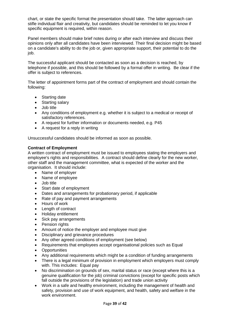chart, or state the specific format the presentation should take. The latter approach can stifle individual flair and creativity, but candidates should be reminded to let you know if specific equipment is required, within reason.

 Panel members should make brief notes during or after each interview and discuss their opinions only after all candidates have been interviewed. Their final decision might be based on a candidate's ability to do the job or, given appropriate support, their potential to do the job.

 The successful applicant should be contacted as soon as a decision is reached, by telephone if possible, and this should be followed by a formal offer in writing. Be clear if the offer is subject to references.

 The letter of appointment forms part of the contract of employment and should contain the following:

- Starting date
- Starting salary
- Job title
- Any conditions of employment e.g. whether it is subject to a medical or receipt of satisfactory references.
- A request for further information or documents needed, e.g. P45
- A request for a reply in writing

Unsuccessful candidates should be informed as soon as possible.

# **Contract of Employment**

 A written contract of employment must be issued to employees stating the employers and employee's rights and responsibilities. A contract should define clearly for the new worker, other staff and the management committee, what is expected of the worker and the organisation. It should include:

- Name of employer
- Name of employee
- Job title
- Start date of employment
- Dates and arrangements for probationary period, if applicable
- $\bullet$ Rate of pay and payment arrangements
- $\bullet$ Hours of work
- Length of contract
- $\bullet$ Holiday entitlement
- $\bullet$ Sick pay arrangements
- $\bullet$ Pension rights
- Amount of notice the employer and employee must give
- Disciplinary and grievance procedures
- $\bullet$ Any other agreed conditions of employment (see below)
- Requirements that employees accept organisational policies such as Equal
- Opportunities
- Any additional requirements which might be a condition of funding arrangements
- There is a legal minimum of provision in employment which employers must comply with. This includes: Equal pay
- No discrimination on grounds of sex, marital status or race (except where this is a genuine qualification for the job) criminal convictions (except for specific posts which fall outside the provisions of the legislation) and trade union activity
- $\bullet$  safety, provision and use of work equipment, and health, safety and welfare in the Work in a safe and healthy environment, including the management of health and work environment.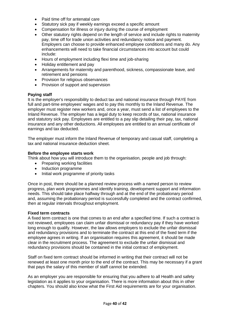- Paid time off for antenatal care
- $\bullet$ Statutory sick pay if weekly earnings exceed a specific amount
- Compensation for illness or injury during the course of employment
- pay, time off for trade union activities and redundancy notice and payment. Employers can choose to provide enhanced employee conditions and many do. Any enhancements will need to take financial circumstances into account but could Other statutory rights depend on the length of service and include rights to maternity include:
- $\bullet$ Hours of employment including flexi time and job-sharing
- $\bullet$ Holiday entitlement and pay
- Arrangements for maternity and parenthood, sickness, compassionate leave, and retirement and pensions
- $\bullet$ Provision for religious observances
- $\bullet$ Provision of support and supervision

# **Paying staff**

 It is the employer's responsibility to deduct tax and national insurance through PAYE from full and part-time employees' wages and to pay this monthly to the Inland Revenue. The employer must register new workers and, once a year, must send a list of employees to the Inland Revenue. The employer has a legal duty to keep records of tax, national insurance and statutory sick pay. Employees are entitled to a pay slip detailing their pay, tax, national insurance and any other deductions. All employees are entitled to an annual certificate of earnings and tax deducted.

 The employer must inform the Inland Revenue of temporary and casual staff, completing a tax and national insurance deduction sheet.

# **Before the employee starts work**

Think about how you will introduce them to the organisation, people and job through:

- Preparing working facilities
- Induction programme
- Initial work programme of priority tasks

 Once in post, there should be a planned review process with a named person to review progress, plan work programmes and identify training, development support and information needs. This should take place halfway through and at the end of the probationary period and, assuming the probationary period is successfully completed and the contract confirmed, then at regular intervals throughout employment.

# **Fixed term contracts**

 A fixed term contract is one that comes to an end after a specified time. If such a contract is not reviewed, employees can claim unfair dismissal or redundancy pay if they have worked long enough to qualify. However, the law allows employers to exclude the unfair dismissal and redundancy provisions and to terminate the contract at this end of the fixed term if the employee agrees in writing. If an organisation requires this agreement, it should be made clear in the recruitment process. The agreement to exclude the unfair dismissal and redundancy provisions should be contained in the initial contract of employment.

 Staff on fixed term contract should be informed in writing that their contract will not be renewed at least one month prior to the end of the contract. This may be necessary if a grant that pays the salary of this member of staff cannot be extended.

 As an employer you are responsible for ensuring that you adhere to all Health and safety legislation as it applies to your organisation. There is more information about this in other chapters. You should also know what the First Aid requirements are for your organisation.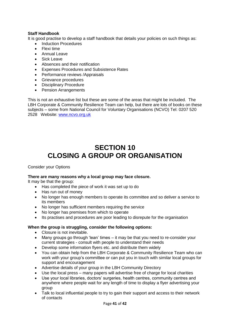# **Staff Handbook**

It is good practise to develop a staff handbook that details your policies on such things as:

- Induction Procedures
- Flexi time
- Annual Leave
- Sick Leave
- Absences and their notification
- Expenses Procedures and Subsistence Rates
- Performance reviews / Appraisals
- Grievance procedures
- Disciplinary Procedure
- Pension Arrangements

 This is not an exhaustive list but these are some of the areas that might be included. The LBH Corporate & Community Resilience Team can help, but there are lots of books on these subjects – some from National Council for Voluntary Organisations (NCVO) Tel: 0207 520 2528 Website: www.ncvo.org.uk

# **SECTION 10 CLOSING A GROUP OR ORGANISATION**

# Consider your Options

# **There are many reasons why a local group may face closure.**

It may be that the group:

- Has completed the piece of work it was set up to do
- Has run out of money
- No longer has enough members to operate its committee and so deliver a service to its members
- No longer has sufficient members requiring the service
- No longer has premises from which to operate
- Its practises and procedures are poor leading to disrepute for the organisation

# **When the group is struggling, consider the following options:**

- Closure is not inevitable.
- Many groups go through 'lean' times it may be that you need to re-consider your current strategies - consult with people to understand their needs
- Develop some information flyers etc. and distribute them widely
- You can obtain help from the LBH Corporate & Community Resilience Team who can work with your group's committee or can put you in touch with similar local groups for support and encouragement
- Advertise details of your group in the LBH Community Directory
- Use the local press many papers will advertise free of charge for local charities
- Use your local libraries, doctors' surgeries, health centres, community centres and anywhere where people wait for any length of time to display a flyer advertising your group
- Talk to local influential people to try to gain their support and access to their network of contacts